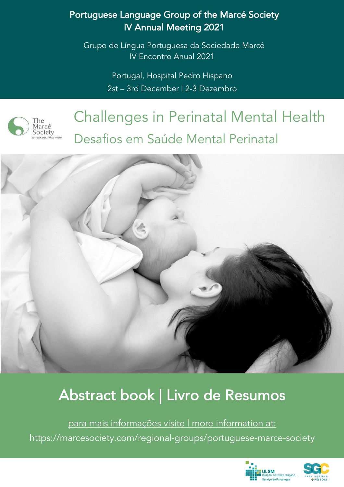## Portuguese Language Group of the Marcé Society IV Annual Meeting 2021

Grupo de Língua Portuguesa da Sociedade Marcé IV Encontro Anual 2021

> Portugal, Hospital Pedro Hispano 2st – 3rd December | 2-3 Dezembro



# Challenges in Perinatal Mental Health Desafios em Saúde Mental Perinatal



## Abstract book | Livro de Resumos

para mais informações visite | more information at: https://marcesociety.com/regional-groups/portuguese-marce-society



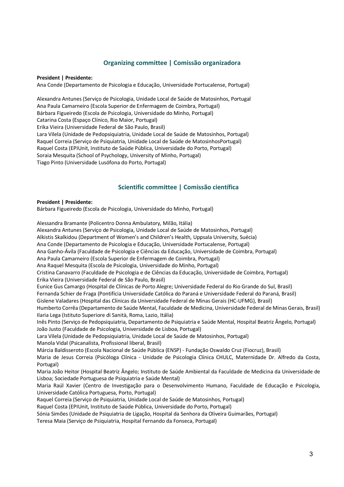## **Organizing committee | Comissão organizadora**

#### **President | Presidente:**

Ana Conde (Departamento de Psicologia e Educação, Universidade Portucalense, Portugal)

Alexandra Antunes (Serviço de Psicologia, Unidade Local de Saúde de Matosinhos, Portugal Ana Paula Camarneiro (Escola Superior de Enfermagem de Coimbra, Portugal) Bárbara Figueiredo (Escola de Psicologia, Universidade do Minho, Portugal) Catarina Costa (Espaço Clínico, Rio Maior, Portugal) Erika Vieira (Universidade Federal de São Paulo, Brasil) Lara Vilela (Unidade de Pedopsiquiatria, Unidade Local de Saúde de Matosinhos, Portugal) Raquel Correia (Serviço de Psiquiatria, Unidade Local de Saúde de MatosinhosPortugal) Raquel Costa (EPIUnit, Instituto de Saúde Pública, Universidade do Porto, Portugal) Soraia Mesquita (School of Psychology, University of Minho, Portugal) Tiago Pinto (Universidade Lusófona do Porto, Portugal)

## **Scientific committee | Comissão científica**

#### **President | Presidente:**

Bárbara Figueiredo (Escola de Psicologia, Universidade do Minho, Portugal)

Alessandra Bramante (Policentro Donna Ambulatory, Milão, Itália) Alexandra Antunes (Serviço de Psicologia, Unidade Local de Saúde de Matosinhos, Portugal) Alkistis Skalkidou (Department of Women's and Children's Health, Uppsala University, Suécia) Ana Conde (Departamento de Psicologia e Educação, Universidade Portucalense, Portugal) Ana Ganho-Ávila (Faculdade de Psicologia e Ciências da Educação, Universidade de Coimbra, Portugal) Ana Paula Camarneiro (Escola Superior de Enfermagem de Coimbra, Portugal) Ana Raquel Mesquita (Escola de Psicologia, Universidade do Minho, Portugal) Cristina Canavarro (Faculdade de Psicologia e de Ciências da Educação, Universidade de Coimbra, Portugal) Erika Vieira (Universidade Federal de São Paulo, Brasil) Eunice Gus Camargo (Hospital de Clínicas de Porto Alegre; Universidade Federal do Rio Grande do Sul, Brasil) Fernanda Schier de Fraga (Pontifícia Universidade Católica do Paraná e Universidade Federal do Paraná, Brasil) Gislene Valadares (Hospital das Clínicas da Universidade Federal de Minas Gerais (HC-UFMG), Brasil) Humberto Corrêa (Departamento de Saúde Mental, Faculdade de Medicina, Universidade Federal de Minas Gerais, Brasil) Ilaria Lega (Istituto Superiore di Sanità, Roma, Lazio, Itália) Inês Pinto (Serviço de Pedopsiquiatria, Departamento de Psiquiatria e Saúde Mental, Hospital Beatriz Ângelo, Portugal) João Justo (Faculdade de Psicologia, Universidade de Lisboa, Portugal) Lara Vilela (Unidade de Pedopsiquiatria, Unidade Local de Saúde de Matosinhos, Portugal) Manola Vidal (Psicanalísta, Profissional liberal, Brasil) Márcia Baldisseroto (Escola Nacional de Saúde Pública (ENSP) - Fundação Oswaldo Cruz (Fiocruz), Brasil) Maria de Jesus Correia (Psicóloga Clínica - Unidade de Psicologia Clínica CHULC, Maternidade Dr. Alfredo da Costa, Portugal) Maria João Heitor (Hospital Beatriz Ângelo; Instituto de Saúde Ambiental da Faculdade de Medicina da Universidade de Lisboa; Sociedade Portuguesa de Psiquiatria e Saúde Mental) Maria Raúl Xavier (Centro de Investigação para o Desenvolvimento Humano, Faculdade de Educação e Psicologia, Universidade Católica Portuguesa, Porto, Portugal) Raquel Correia (Serviço de Psiquiatria, Unidade Local de Saúde de Matosinhos, Portugal) Raquel Costa (EPIUnit, Instituto de Saúde Pública, Universidade do Porto, Portugal) Sónia Simões (Unidade de Psiquiatria de Ligação, Hospital da Senhora da Oliveira Guimarães, Portugal) Teresa Maia (Serviço de Psiquiatria, Hospital Fernando da Fonseca, Portugal)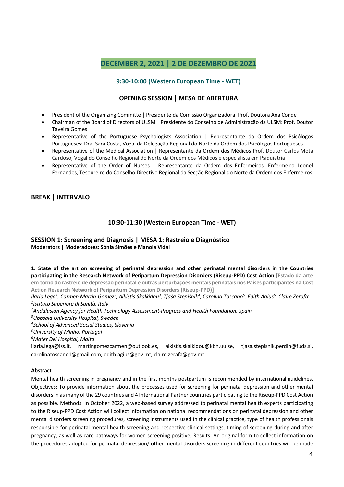## **DECEMBER 2, 2021 | 2 DE DEZEMBRO DE 2021**

## **9:30-10:00 (Western European Time - WET)**

## **OPENING SESSION | MESA DE ABERTURA**

- President of the Organizing Committe | Presidente da Comissão Organizadora: Prof. Doutora Ana Conde
- Chairman of the Board of Directors of ULSM | Presidente do Conselho de Administração da ULSM: Prof. Doutor Taveira Gomes
- Representative of the Portuguese Psychologists Association | Representante da Ordem dos Psicólogos Portugueses: Dra. Sara Costa, Vogal da Delegação Regional do Norte da Ordem dos Psicólogos Portugueses
- Representative of the Medical Association | Representante da Ordem dos Médicos Prof. Doutor Carlos Mota Cardoso, Vogal do Conselho Regional do Norte da Ordem dos Médicos e especialista em Psiquiatria
- Representative of the Order of Nurses | Representante da Ordem dos Enfermeiros: Enfermeiro Leonel Fernandes, Tesoureiro do Conselho Directivo Regional da Secção Regional do Norte da Ordem dos Enfermeiros

## **BREAK | INTERVALO**

## **10:30-11:30 (Western European Time - WET)**

## **SESSION 1: Screening and Diagnosis | MESA 1: Rastreio e Diagnóstico Moderators | Moderadores: Sónia Simões e Manola Vidal**

**1. State of the art on screening of perinatal depression and other perinatal mental disorders in the Countries participating in the Research Network of Peripartum Depression Disorders (Riseup-PPD) Cost Action [Estado da arte em torno do rastreio de depressão perinatal e outras perturbações mentais perinatais nos Países participantes na Cost Action Research Network of Peripartum Depression Disorders (Riseup-PPD)]**

Ilaria Lega<sup>1</sup>, Carmen Martin-Gomez<sup>2</sup>, Alkistis Skalkidou<sup>3</sup>, Tjaša Stepišnik<sup>4</sup>, Carolina Toscano<sup>5</sup>, Edith Agius<sup>6</sup>, Claire Zerafa<sup>6</sup> *1 Istituto Superiore di Sanità, Italy*

*2 Andalusian Agency for Health Technology Assessment-Progress and Health Foundation, Spain*

*3 Uppsala University Hospital, Sweden*

*4 School of Advanced Social Studies, Slovenia*

*5 University of Minho, Portugal*

*6 Mater Dei Hospital, Malta*

ilaria.lega@iss.it, martingomezcarmen@outlook.es, alkistis.skalkidou@kbh.uu.se, tjasa.stepisnik.perdih@fuds.si, carolinatoscano1@gmail.com, edith.agius@gov.mt, claire.zerafa@gov.mt

#### **Abstract**

Mental health screening in pregnancy and in the first months postpartum is recommended by international guidelines. Objectives: To provide information about the processes used for screening for perinatal depression and other mental disorders in as many of the 29 countries and 4 International Partner countries participating to the Riseup-PPD Cost Action as possible. Methods: In October 2022, a web-based survey addressed to perinatal mental health experts participating to the Riseup-PPD Cost Action will collect information on national recommendations on perinatal depression and other mental disorders screening procedures, screening instruments used in the clinical practice, type of health professionals responsible for perinatal mental health screening and respective clinical settings, timing of screening during and after pregnancy, as well as care pathways for women screening positive. Results: An original form to collect information on the procedures adopted for perinatal depression/ other mental disorders screening in different countries will be made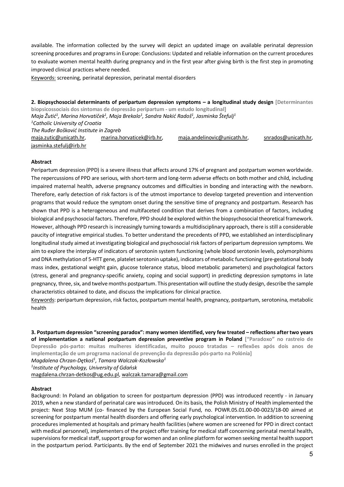available. The information collected by the survey will depict an updated image on available perinatal depression screening procedures and programs in Europe: Conclusions: Updated and reliable information on the current procedures to evaluate women mental health during pregnancy and in the first year after giving birth is the first step in promoting improved clinical practices where needed.

Keywords: screening, perinatal depression, perinatal mental disorders

**2. Biopsychosocial determinants of peripartum depression symptoms – a longitudinal study design [Determinantes biopsicossociais dos sintomas de depressão peripartum - um estudo longitudinal]** *Maja Žutić1 , Marina Horvatiček1 , Maja Brekalo1 , Sandra Nakić Radoš1 , Jasminka Štefulj1 1 Catholic University of Croatia The Ruđer Bošković Institute in Zagreb* maja.zutic@unicath.hr, marina.horvaticek@irb.hr, maja.andelinovic@unicath.hr, snrados@unicath.hr, jasminka.stefulj@irb.hr

#### **Abstract**

Peripartum depression (PPD) is a severe illness that affects around 17% of pregnant and postpartum women worldwide. The repercussions of PPD are serious, with short-term and long-term adverse effects on both mother and child, including impaired maternal health, adverse pregnancy outcomes and difficulties in bonding and interacting with the newborn. Therefore, early detection of risk factors is of the utmost importance to develop targeted prevention and intervention programs that would reduce the symptom onset during the sensitive time of pregnancy and postpartum. Research has shown that PPD is a heterogeneous and multifaceted condition that derives from a combination of factors, including biological and psychosocial factors. Therefore, PPD should be explored within the biopsychosocial theoretical framework. However, although PPD research is increasingly turning towards a multidisciplinary approach, there is still a considerable paucity of integrative empirical studies. To better understand the precedents of PPD, we established an interdisciplinary longitudinal study aimed at investigating biological and psychosocial risk factors of peripartum depression symptoms. We aim to explore the interplay of indicators of serotonin system functioning (whole blood serotonin levels, polymorphisms and DNA methylation of 5-HTT gene, platelet serotonin uptake), indicators of metabolic functioning (pre-gestational body mass index, gestational weight gain, glucose tolerance status, blood metabolic parameters) and psychological factors (stress, general and pregnancy-specific anxiety, coping and social support) in predicting depression symptoms in late pregnancy, three, six, and twelve months postpartum. This presentation will outline the study design, describe the sample characteristics obtained to date, and discuss the implications for clinical practice.

Keywords: peripartum depression, risk factos, postpartum mental health, pregnancy, postpartum, serotonina, metabolic health

**3. Postpartum depression "screening paradox": many women identified, very few treated – reflections after two years of implementation a national postpartum depression preventive program in Poland ["Paradoxo" no rastreio de Depressão pós-parto: muitas mulheres identificadas, muito pouco tratadas – reflexões após dois anos de implementação de um programa nacional de prevenção da depressão pós-parto na Polónia]**

*Magdalena Chrzan-Dętkoś1 , Tamara Walczak-Kozłowska1*

*1 Institute of Psychology, University of Gdańsk*

magdalena.chrzan-detkos@ug.edu.pl, walczak.tamara@gmail.com

#### **Abstract**

Background: In Poland an obligation to screen for postpartum depression (PPD) was introduced recently - in January 2019, when a new standard of perinatal care was introduced. On its basis, the Polish Ministry of Health implemented the project: Next Stop MUM (co- financed by the European Social Fund, no. POWR.05.01.00-00-0023/18-00 aimed at screening for postpartum mental health disorders and offering early psychological intervention. In addition to screening procedures implemented at hospitals and primary health facilities (where women are screened for PPD in direct contact with medical personnel), implementers of the project offer training for medical staff concerning perinatal mental health, supervisions for medical staff, support group for women and an online platform for women seeking mental health support in the postpartum period. Participants. By the end of September 2021 the midwives and nurses enrolled in the project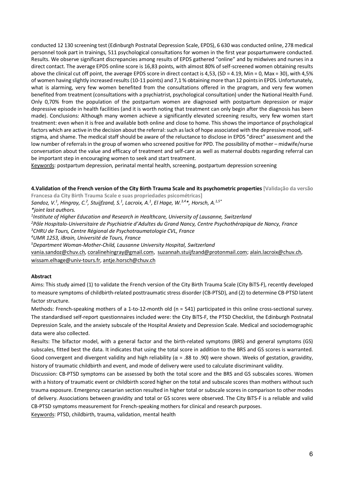conducted 12 130 screening test (Edinburgh Postnatal Depression Scale, EPDS), 6 630 was conducted online, 278 medical personnel took part in trainings, 511 psychological consultations for women in the first year pospartumwere conducted. Results. We observe significant discrepancies among results of EPDS gathered "online" and by midwives and nurses in a direct contact. The average EPDS online score is 16,83 points, with almost 80% of self-screened women obtaining results above the clinical cut off point, the average EPDS score in direct contact is 4,53, (SD = 4.19, Min = 0, Max = 30), with 4,5% of women having slightly increased results (10-11 points) and 7,1 % obtaining more than 12 points in EPDS. Unfortunately, what is alarming, very few women benefited from the consultations offered in the program, and very few women benefited from treatment (consultations with a psychiatrist, psychological consultation) under the National Health Fund. Only 0,70% from the population of the postpartum women are diagnosed with postpartum depression or major depressive episode in health facilities (and it is worth noting that treatment can only begin after the diagnosis has been made). Conclusions: Although many women achieve a significantly elevated screening results, very few women start treatment: even when it is free and available both online and close to home. This shows the importance of psychological factors which are active in the decision about the referral: such as lack of hope associated with the depressive mood, selfstigma, and shame. The medical staff should be aware of the reluctance to disclose in EPDS "direct" assessment and the low number of referrals in the group of women who screened positive for PPD. The possibility of mother – midwife/nurse conversation about the value and efficacy of treatment and self-care as well as maternal doubts regarding referral can be important step in encouraging women to seek and start treatment.

Keywords: postpartum depression, perinatal mental health, screening, postpartum depression screening

**4.Validation of the French version of the City Birth Trauma Scale and its psychometric properties [Validação da versão** 

**Francesa da City Birth Trauma Scale e suas propriedades psicométricas]**

*Sandoz, V.1 , Hingray, C.2 , Stuijfzand, S.1 , Lacroix, A.1 , El Hage, W.3,4\*, Horsch, A.1,5\**

*\*joint last authors.*

*1 Institute of Higher Education and Research in Healthcare, University of Lausanne, Switzerland*

*2 Pôle Hospitalo-Universitaire de Psychiatrie d'Adultes du Grand Nancy, Centre Psychothérapique de Nancy, France*

*3 CHRU de Tours, Centre Régional de Psychotraumatologie CVL, France*

*4 UMR 1253, iBrain, Université de Tours, France*

*5 Department Woman-Mother-Child, Lausanne University Hospital, Switzerland*

vania.sandoz@chuv.ch, coralinehingray@gmail.com, suzannah.stuijfzand@protonmail.com; alain.lacroix@chuv.ch, wissam.elhage@univ-tours.fr, antje.horsch@chuv.ch

#### **Abstract**

Aims: This study aimed (1) to validate the French version of the City Birth Trauma Scale (City BiTS-F), recently developed to measure symptoms of childbirth-related posttraumatic stress disorder (CB-PTSD), and (2) to determine CB-PTSD latent factor structure.

Methods: French-speaking mothers of a 1-to-12-month old (n = 541) participated in this online cross-sectional survey. The standardised self-report questionnaires included were: the City BiTS-F, the PTSD Checklist, the Edinburgh Postnatal Depression Scale, and the anxiety subscale of the Hospital Anxiety and Depression Scale. Medical and sociodemographic data were also collected.

Results: The bifactor model, with a general factor and the birth-related symptoms (BRS) and general symptoms (GS) subscales, fitted best the data. It indicates that using the total score in addition to the BRS and GS scores is warranted. Good convergent and divergent validity and high reliability ( $\alpha$  = .88 to .90) were shown. Weeks of gestation, gravidity, history of traumatic childbirth and event, and mode of delivery were used to calculate discriminant validity.

Discussion: CB-PTSD symptoms can be assessed by both the total score and the BRS and GS subscales scores. Women with a history of traumatic event or childbirth scored higher on the total and subscale scores than mothers without such trauma exposure. Emergency caesarian section resulted in higher total or subscale scores in comparison to other modes of delivery. Associations between gravidity and total or GS scores were observed. The City BiTS-F is a reliable and valid CB-PTSD symptoms measurement for French-speaking mothers for clinical and research purposes.

Keywords: PTSD, childbirth, trauma, validation, mental health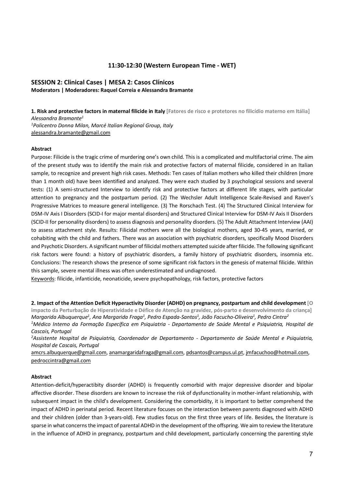#### **11:30-12:30 (Western European Time - WET)**

#### **SESSION 2: Clinical Cases | MESA 2: Casos Clínicos Moderators | Moderadores: Raquel Correia e Alessandra Bramante**

**1. Risk and protective factors in maternal filicide in Italy [Fatores de risco e protetores no filicídio materno em Itália]** *Alessandra Bramante1 1 Policentro Donna Milan, Marcé Italian Regional Group, Italy* alessandra.bramante@gmail.com

#### **Abstract**

Purpose: Filicide is the tragic crime of murdering one's own child. This is a complicated and multifactorial crime. The aim of the present study was to identify the main risk and protective factors of maternal filicide, considered in an Italian sample, to recognize and prevent high risk cases. Methods: Ten cases of Italian mothers who killed their children (more than 1 month old) have been identified and analyzed. They were each studied by 3 psychological sessions and several tests: (1) A semi-structured Interview to identify risk and protective factors at different life stages, with particular attention to pregnancy and the postpartum period. (2) The Wechsler Adult Intelligence Scale-Revised and Raven's Progressive Matrices to measure general intelligence. (3) The Rorschach Test. (4) The Structured Clinical Interview for DSM-IV Axis I Disorders (SCID-I for major mental disorders) and Structured Clinical Interview for DSM-IV Axis II Disorders (SCID-II for personality disorders) to assess diagnosis and personality disorders. (5) The Adult Attachment Interview (AAI) to assess attachment style. Results: Filicidal mothers were all the biological mothers, aged 30-45 years, married, or cohabiting with the child and fathers. There was an association with psychiatric disorders, specifically Mood Disorders and Psychotic Disorders. A significant number of filicidal mothers attempted suicide after filicide. The following significant risk factors were found: a history of psychiatric disorders, a family history of psychiatric disorders, insomnia etc. Conclusions: The research shows the presence of some significant risk factors in the genesis of maternal filicide. Within this sample, severe mental illness was often underestimated and undiagnosed.

Keywords: filicide, infanticide, neonaticide, severe psychopathology, risk factors, protective factors

**2. Impact of the Attention Deficit Hyperactivity Disorder (ADHD) on pregnancy, postpartum and child development [O impacto da Perturbação de Hiperatividade e Défice de Atenção na gravidez, pós-parto e desenvolvimento da criança]** *Margarida Albuquerque1 , Ana Margarida Fraga1 , Pedro Espada-Santos1 , João Facucho-Oliveira1 , Pedro Cintra2 1 Médico Interno da Formação Específica em Psiquiatria - Departamento de Saúde Mental e Psiquiatria, Hospital de Cascais, Portugal*

*2 Assistente Hospital de Psiquiatria, Coordenador de Departamento - Departamento de Saúde Mental e Psiquiatria, Hospital de Cascais, Portugal*

amcrs.albuquerque@gmail.com, anamargaridafraga@gmail.com, pdsantos@campus.ul.pt, jmfacuchoo@hotmail.com, pedroccintra@gmail.com

#### **Abstract**

Attention-deficit/hyperactibity disorder (ADHD) is frequently comorbid with major depressive disorder and bipolar affective disorder. These disorders are known to increase the risk of dysfunctionality in mother-infant relationship, with subsequent impact in the child's development. Considering the comorbidity, it is important to better comprehend the impact of ADHD in perinatal period. Recent literature focuses on the interaction between parents diagnosed with ADHD and their children (older than 3-years-old). Few studies focus on the first three years of life. Besides, the literature is sparse in what concerns the impact of parental ADHD in the development of the offspring. We aim to review the literature in the influence of ADHD in pregnancy, postpartum and child development, particularly concerning the parenting style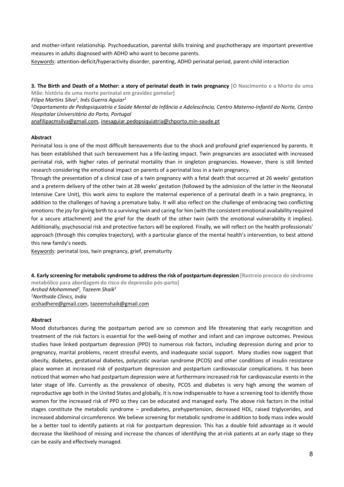and mother-infant relationship. Psychoeducation, parental skills training and psychotherapy are important preventive measures in adults diagnosed with ADHD who want to become parents.

Keywords: attention-deficit/hyperactivity disorder, parenting, ADHD perinatal period, parent-child interaction

**3. The Birth and Death of a Mother: a story of perinatal death in twin pregnancy [O Nascimento e a Morte de uma Mãe: história de uma morte perinatal em gravidez gemelar]** 

*Filipa Martins Silva1 , Inês Guerra Aguiar1 1 Departamento de Pedopsiquiatria e Saúde Mental da Infância e Adolescência, Centro Materno-Infantil do Norte, Centro Hospitalar Universitário do Porto, Portugal*

anafilipacmsilva@gmail.com, inesaguiar.pedopsiquiatria@chporto.min-saude.pt

#### **Abstract**

Perinatal loss is one of the most difficult bereavements due to the shock and profound grief experienced by parents. It has been established that such bereavement has a life-lasting impact. Twin pregnancies are associated with increased perinatal risk, with higher rates of perinatal mortality than in singleton pregnancies. However, there is still limited research considering the emotional impact on parents of a perinatal loss in a twin pregnancy.

Through the presentation of a clinical case of a twin pregnancy with a fetal death that occurred at 26 weeks' gestation and a preterm delivery of the other twin at 28 weeks' gestation (followed by the admission of the latter in the Neonatal Intensive Care Unit), this work aims to explore the maternal experience of a perinatal death in a twin pregnancy, in addition to the challenges of having a premature baby. It will also reflect on the challenge of embracing two conflicting emotions: the joy for giving birth to a surviving twin and caring for him (with the consistent emotional availability required for a secure attachment) and the grief for the death of the other twin (with the emotional vulnerability it implies). Additionally, psychosocial risk and protective factors will be explored. Finally, we will reflect on the health professionals' approach (through this complex trajectory), with a particular glance of the mental health's intervention, to best attend this new family's needs.

Keywords: perinatal loss, twin pregnancy, grief, prematurity

**4. Early screening for metabolic syndrome to address the risk of postpartum depression [Rastreio precoce do síndrome metabólico para abordagem do risco de depressão pós-parto]**  *Arshad Mohammed1 , Tazeem Shaik1 1 Northside Clinics, India* arshadhere@gmail.com, tazeemshaik@gmail.com

#### **Abstract**

Mood disturbances during the postpartum period are so common and life threatening that early recognition and treatment of the risk factors is essential for the well-being of mother and infant and can improve outcomes. Previous studies have linked postpartum depression (PPD) to numerous risk factors, including depression during and prior to pregnancy, marital problems, recent stressful events, and inadequate social support. Many studies now suggest that obesity, diabetes, gestational diabetes, polycystic ovarian syndrome (PCOS) and other conditions of insulin resistance place women at increased risk of postpartum depression and postpartum cardiovascular complications. It has been noticed that women who had postpartum depression were at furthermore increased risk for cardiovascular events in the later stage of life. Currently as the prevalence of obesity, PCOS and diabetes is very high among the women of reproductive age both in the United States and globally, it is now indispensable to have a screening tool to identify those women for the increased risk of PPD so they can be educated and managed early. The above risk factors in the initial stages constitute the metabolic syndrome – prediabetes, prehypertension, decreased HDL, raised triglycerides, and increased abdominal circumference. We believe screening for metabolic syndrome in addition to body mass index would be a better tool to identify patients at risk for postpartum depression. This has a double fold advantage as it would decrease the likelihood of missing and increase the chances of identifying the at-risk patients at an early stage so they can be easily and effectively managed.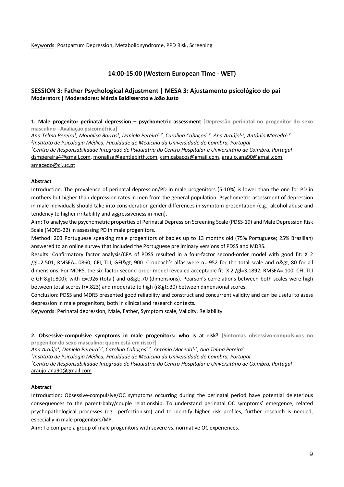Keywords: Postpartum Depression, Metabolic syndrome, PPD Risk, Screening

### **14:00-15:00 (Western European Time - WET)**

## **SESSION 3: Father Psychological Adjustment | MESA 3: Ajustamento psicológico do pai Moderators | Moderadores: Márcia Baldisseroto e João Justo**

**1. Male progenitor perinatal depression – psychometric assessment [Depressão perinatal no progenitor do sexo masculino - Avaliação psicométrica]** 

Ana Telma Pereira<sup>1</sup>, Monalisa Barros<sup>1</sup>, Daniela Pereira<sup>1,2</sup>, Carolina Cabaços<sup>1,2</sup>, Ana Araújo<sup>1,2</sup>, António Macedo<sup>1,2</sup> *1 Instituto de Psicologia Médica, Faculdade de Medicina da Universidade de Coimbra, Portugal 2 Centro de Responsabilidade Integrado de Psiquiatria do Centro Hospitalar e Universitário de Coimbra, Portugal* dsmpereira4@gmail.com, monalisa@gentlebirth.com, csm.cabacos@gmail.com, araujo.ana90@gmail.com, amacedo@ci.uc.pt

#### **Abstract**

Introduction: The prevalence of perinatal depression/PD in male progenitors (5-10%) is lower than the one for PD in mothers but higher than depression rates in men from the general population. Psychometric assessment of depression in male individuals should take into consideration gender differences in symptom presentation (e.g., alcohol abuse and tendency to higher irritability and aggressiveness in men).

Aim: To analyse the psychometric properties of Perinatal Depression Screening Scale (PDSS-19) and Male Depression Risk Scale (MDRS-22) in assessing PD in male progenitors.

Method: 203 Portuguese speaking male progenitors of babies up to 13 months old (75% Portuguese; 25% Brazilian) answered to an online survey that included the Portuguese preliminary versions of PDSS and MDRS.

Results: Confirmatory factor analysis/CFA of PDSS resulted in a four-factor second-order model with good fit: X 2  $/g$ l=2.501; RMSEA=.0860; CFI, TLI, GFI>.900. Cronbach's alfas were  $\alpha$ =.952 for the total scale and  $\alpha$ >.80 for all dimensions. For MDRS, the six-factor second-order model revealed acceptable fit: X 2 /gl=3.1892; RMSEA=.100; CFI, TLI e GFI>.800); with α=.926 (total) and α>.70 (dimensions). Pearson's correlations between both scales were high between total scores ( $r=0.823$ ) and moderate to high ( $r\>g$ ) between dimensional scores.

Conclusion: PDSS and MDRS presented good reliability and construct and concurrent validity and can be useful to asess depression in male progenitors, both in clinical and research contexts.

Keywords: Perinatal depression, Male, Father, Symptom scale, Validity, Reliability

**2. Obsessive-compulsive symptoms in male progenitors: who is at risk? [Sintomas obsessivo-compulsivos no progenitor do sexo masculino: quem está em risco?]** 

Ana Araújo<sup>1</sup>, Daniela Pereira<sup>1,2</sup>, Carolina Cabaços<sup>1,2</sup>, António Macedo<sup>1,2</sup>, Ana Telma Pereira<sup>1</sup> *1 Instituto de Psicologia Médica, Faculdade de Medicina da Universidade de Coimbra, Portugal 2 Centro de Responsabilidade Integrado de Psiquiatria do Centro Hospitalar e Universitário de Coimbra, Portugal* araujo.ana90@gmail.com

#### **Abstract**

Introduction: Obsessive-compulsive/OC symptoms occurring during the perinatal period have potential deleterious consequences to the parent-baby/couple relationship. To understand perinatal OC symptoms' emergence, related psychopathological processes (eg.: perfectionism) and to identify higher risk profiles, further research is needed, especially in male progenitors/MP.

Aim: To compare a group of male progenitors with severe vs. normative OC experiences.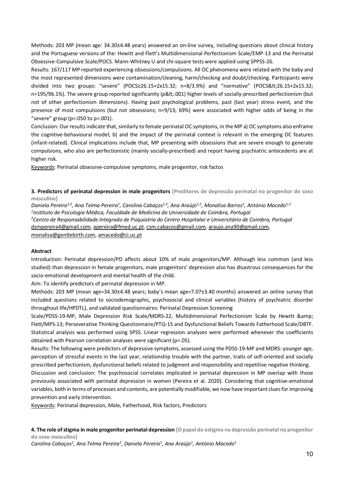Methods: 203 MP (mean age: 34.30±4.48 years) answered an on-line survey, including questions about clinical history and the Portuguese versions of the: Hewitt and Flett's Multidimensional Perfectionism Scale/EMP-13 and the Perinatal Obsessive-Compulsive Scale/POCS. Mann-Whitney U and chi-square tests were applied using SPPSS-26.

Results: 167/117 MP reported experiencing obsessions/compulsions. All OC phenomena were related with the baby and the most represented dimensions were contamination/cleaning, harm/checking and doubt/checking. Participants were divided into two groups: "severe" (POCS≥26.15+2x15.32; n=8/3.9%) and "normative" (POCS<26.15+2x15.32; n=195/96.1%). The severe group reported significantly (p<.001) higher levels of socially-prescribed perfectionism (but not of other perfectionism dimensions). Having past psychological problems, past (last year) stress event, and the presence of most compulsions (but not obsessions; n=9/13; 69%) were associated with higher odds of being in the "severe" group ( $p = 0.050$  to  $p = 0.001$ ).

Conclusion: Our results indicate that, similarly to female perinatal OC symptoms, in the MP a) OC symptoms also enframe the cognitive-behavioural model; b) and the impact of the perinatal context is relevant in the emerging OC features (infant-related). Clinical implications include that, MP presenting with obsessions that are severe enough to generate compulsions, who also are perfectionistic (mainly socially-prescribed) and report having psychiatric antecedents are at higher risk.

Keywords: Perinatal obsessive-compulsive symptoms, male progenitor, risk factos

**3. Predictors of perinatal depression in male progenitors [Preditores de depressão perinatal no progenitor do sexo masculino]** 

Daniela Pereira<sup>1,2</sup>, Ana Telma Pereira<sup>1</sup>, Carolina Cabaços<sup>1,2</sup>, Ana Araújo<sup>1,2</sup>, Monalisa Barros<sup>1</sup>, António Macedo<sup>1,2</sup> *1 Instituto de Psicologia Médica, Faculdade de Medicina da Universidade de Coimbra, Portugal 2 Centro de Responsabilidade Integrado de Psiquiatria do Centro Hospitalar e Universitário de Coimbra, Portugal* dsmpereira4@gmail.com, apereira@fmed.uc.pt, csm.cabacos@gmail.com, araujo.ana90@gmail.com, monalisa@gentlebirth.com, amacedo@ci.uc.pt

#### **Abstract**

Introduction: Perinatal depression/PD affects about 10% of male progenitors/MP. Although less common (and less studied) than depression in female progenitors, male progenitors' depression also has disastrous consequences for the socio-emotional development and mental health of the child.

Aim: To identify predictors of perinatal depression in MP.

Methods: 203 MP (mean age=34.30±4.48 years; baby's mean age=7.07±3.40 months) answered an online survey that included questions related to sociodemographic, psychosocial and clinical variables (history of psychiatric disorder throughout life/HPDTL), and validated questionnaires: Perinatal Depression Screening

Scale/PDSS-19-MP, Male Depression Risk Scale/MDRS-22, Multidimensional Perfectionism Scale by Hewitt & Flett/MPS-13; Perseverative Thinking Questionnaire/PTQ-15 and Dysfunctional Beliefs Towards Fatherhood Scale/DBTF. Statistical analysis was performed using SPSS. Linear regression analyzes were performed whenever the coefficients obtained with Pearson correlation analyses were significant (p=.05).

Results: The following were predictors of depressive symptoms, assessed using the PDSS-19-MP and MDRS: younger age, perception of stressful events in the last year, relationship trouble with the partner, traits of self-oriented and socially prescribed perfectionism, dysfunctional beliefs related to judgment and responsibility and repetitive negative thinking.

Discussion and conclusion: The psychosocial correlates implicated in perinatal depression in MP overlap with those previously associated with perinatal depression in women (Pereira et al. 2020). Considering that cognitive-emotional variables, both in terms of processes and contents, are potentially modifiable, we now have important clues for improving prevention and early intervention.

Keywords: Perinatal depression, Male, Fatherhood, Risk factors, Predictors

**4. The role of stigma in male progenitor perinatal depression [O papel do estigma na depressão perinatal no progenitor do sexo masculino]** 

*Carolina Cabaços1 , Ana Telma Pereira1 , Daniela Pereira1 , Ana Araújo1 , António Macedo1*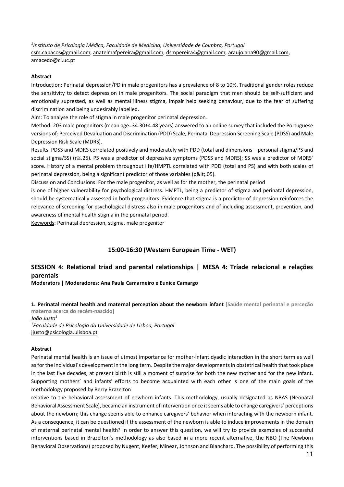*1 Instituto de Psicologia Médica, Faculdade de Medicina, Universidade de Coimbra, Portugal* csm.cabacos@gmail.com, anatelmafpereira@gmail.com, dsmpereira4@gmail.com, araujo.ana90@gmail.com, amacedo@ci.uc.pt

#### **Abstract**

Introduction: Perinatal depression/PD in male progenitors has a prevalence of 8 to 10%. Traditional gender roles reduce the sensitivity to detect depression in male progenitors. The social paradigm that men should be self-sufficient and emotionally supressed, as well as mental illness stigma, impair help seeking behaviour, due to the fear of suffering discrimination and being undesirably labelled.

Aim: To analyse the role of stigma in male progenitor perinatal depression.

Method: 203 male progenitors (mean age=34.30±4.48 years) answered to an online survey that included the Portuguese versions of: Perceived Devaluation and Discrimination (PDD) Scale, Perinatal Depression Screening Scale (PDSS) and Male Depression Risk Scale (MDRS).

Results: PDSS and MDRS correlated positively and moderately with PDD (total and dimensions – personal stigma/PS and social stigma/SS) (r≅.25). PS was a predictor of depressive symptoms (PDSS and MDRS); SS was a predictor of MDRS' score. History of a mental problem throughout life/HMPTL correlated with PDD (total and PS) and with both scales of perinatal depression, being a significant predictor of those variables (p<.05).

Discussion and Conclusions: For the male progenitor, as well as for the mother, the perinatal period

is one of higher vulnerability for psychological distress. HMPTL, being a predictor of stigma and perinatal depression, should be systematically assessed in both progenitors. Evidence that stigma is a predictor of depression reinforces the relevance of screening for psychological distress also in male progenitors and of including assessment, prevention, and awareness of mental health stigma in the perinatal period.

Keywords: Perinatal depression, stigma, male progenitor

## **15:00-16:30 (Western European Time - WET)**

## **SESSION 4: Relational triad and parental relationships | MESA 4: Tríade relacional e relações parentais**

**Moderators | Moderadores: Ana Paula Camarneiro e Eunice Camargo**

**1. Perinatal mental health and maternal perception about the newborn infant [Saúde mental perinatal e perceção materna acerca do recém-nascido]**  *João Justo1*

*1 Faculdade de Psicologia da Universidade de Lisboa, Portugal* jjusto@psicologia.ulisboa.pt

#### **Abstract**

Perinatal mental health is an issue of utmost importance for mother-infant dyadic interaction in the short term as well as for the individual's development in the long term. Despite the major developments in obstetrical health that took place in the last five decades, at present birth is still a moment of surprise for both the new mother and for the new infant. Supporting mothers' and infants' efforts to become acquainted with each other is one of the main goals of the methodology proposed by Berry Brazelton

relative to the behavioral assessment of newborn infants. This methodology, usually designated as NBAS (Neonatal Behavioral Assessment Scale), became an instrument of intervention once it seems able to change caregivers' perceptions about the newborn; this change seems able to enhance caregivers' behavior when interacting with the newborn infant. As a consequence, it can be questioned if the assessment of the newborn is able to induce improvements in the domain of maternal perinatal mental health? In order to answer this question, we will try to provide examples of successful interventions based in Brazelton's methodology as also based in a more recent alternative, the NBO (The Newborn Behavioral Observations) proposed by Nugent, Keefer, Minear, Johnson and Blanchard. The possibility of performing this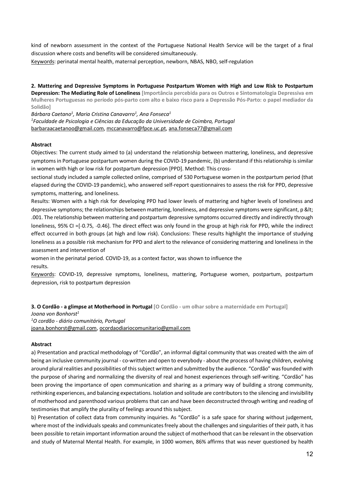kind of newborn assessment in the context of the Portuguese National Health Service will be the target of a final discussion where costs and benefits will be considered simultaneously.

Keywords: perinatal mental health, maternal perception, newborn, NBAS, NBO, self-regulation

**2. Mattering and Depressive Symptoms in Portuguese Postpartum Women with High and Low Risk to Postpartum Depression: The Mediating Role of Loneliness [Importância percebida para os Outros e Sintomatologia Depressiva em Mulheres Portuguesas no período pós-parto com alto e baixo risco para a Depressão Pós-Parto: o papel mediador da Solidão]**

*Bárbara Caetano1 , Maria Cristina Canavarro1 , Ana Fonseca1*

*1 Faculdade de Psicologia e Ciências da Educação da Universidade de Coimbra, Portugal* barbaraacaetanoo@gmail.com, mccanavarro@fpce.uc.pt, ana.fonseca77@gmail.com

#### **Abstract**

Objectives: The current study aimed to (a) understand the relationship between mattering, loneliness, and depressive symptoms in Portuguese postpartum women during the COVID-19 pandemic, (b) understand if this relationship is similar in women with high or low risk for postpartum depression [PPD]. Method: This cross-

sectional study included a sample collected online, comprised of 530 Portuguese women in the postpartum period (that elapsed during the COVID-19 pandemic), who answered self-report questionnaires to assess the risk for PPD, depressive symptoms, mattering, and loneliness.

Results: Women with a high risk for developing PPD had lower levels of mattering and higher levels of loneliness and depressive symptoms; the relationships between mattering, loneliness, and depressive symptoms were significant, p &It; .001. The relationship between mattering and postpartum depressive symptoms occurred directly and indirectly through loneliness, 95% CI = [-0.75, -0.46]. The direct effect was only found in the group at high risk for PPD, while the indirect effect occurred in both groups (at high and low risk). Conclusions: These results highlight the importance of studying loneliness as a possible risk mechanism for PPD and alert to the relevance of considering mattering and loneliness in the assessment and intervention of

women in the perinatal period. COVID-19, as a context factor, was shown to influence the results.

Keywords: COVID-19, depressive symptoms, loneliness, mattering, Portuguese women, postpartum, postpartum depression, risk to postpartum depression

**3. O Cordão - a glimpse at Motherhood in Portugal [O Cordão - um olhar sobre a maternidade em Portugal]** 

*Joana von Bonhorst1 1 O cordão - diário comunitário, Portugal* joana.bonhorst@gmail.com, ocordaodiariocomunitario@gmail.com

#### **Abstract**

a) Presentation and practical methodology of "Cordão", an informal digital community that was created with the aim of being an inclusive community journal - co-written and open to everybody - about the process of having children, evolving around plural realities and possibilities of this subject written and submitted by the audience. "Cordão" was founded with the purpose of sharing and normalizing the diversity of real and honest experiences through self-writing. "Cordão" has been proving the importance of open communication and sharing as a primary way of building a strong community, rethinking experiences, and balancing expectations. Isolation and solitude are contributors to the silencing and invisibility of motherhood and parenthood various problems that can and have been deconstructed through writing and reading of testimonies that amplify the plurality of feelings around this subject.

b) Presentation of collect data from community inquiries. As "Cordão" is a safe space for sharing without judgement, where most of the individuals speaks and communicates freely about the challenges and singularities of their path, it has been possible to retain important information around the subject of motherhood that can be relevant in the observation and study of Maternal Mental Health. For example, in 1000 women, 86% affirms that was never questioned by health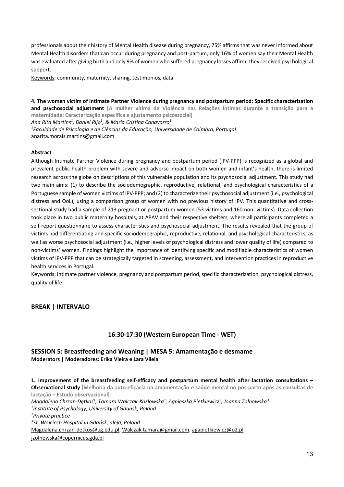professionals about their history of Mental Health disease during pregnancy, 75% affirms that was never informed about Mental Health disorders that can occur during pregnancy and post-partum, only 16% of women say their Mental Health was evaluated after giving birth and only 9% of women who suffered pregnancy losses affirm, they received psychological support.

Keywords: community, maternity, sharing, testimonios, data

**4. The women victim of Intimate Partner Violence during pregnancy and postpartum period: Specific characterization and psychosocial adjustment [A mulher vítima de Violência nas Relações Íntimas durante a transição para a maternidade: Caracterização específica e ajustamento psicossocial]**  *Ana Rita Martins1 , Daniel Rijo1 , & Maria Cristina Canavarro1 1 Faculdade de Psicologia e de Ciências da Educação, Universidade de Coimbra, Portugal* anarita.morais.martins@gmail.com

#### **Abstract**

Although Intimate Partner Violence during pregnancy and postpartum period (IPV-PPP) is recognized as a global and prevalent public health problem with severe and adverse impact on both women and infant's health, there is limited research across the globe on descriptions of this vulnerable population and its psychosocial adjustment. This study had two main aims: (1) to describe the sociodemographic, reproductive, relational, and psychological characteristics of a Portuguese sample of women victims of IPV-PPP; and (2) to characterize their psychosocial adjustment (i.e., psychological distress and QoL), using a comparison group of women with no previous history of IPV. This quantitative and crosssectional study had a sample of 213 pregnant or postpartum women (53 victims and 160 non- victims). Data collection took place in two public maternity hospitals, at APAV and their respective shelters, where all participants completed a self-report questionnaire to assess characteristics and psychosocial adjustment. The results revealed that the group of victims had differentiating and specific sociodemographic, reproductive, relational, and psychological characteristics, as well as worse psychosocial adjustment (i.e., higher levels of psychological distress and lower quality of life) compared to non-victims' women. Findings highlight the importance of identifying specific and modifiable characteristics of women victims of IPV-PPP that can be strategically targeted in screening, assessment, and intervention practices in reproductive health services in Portugal.

Keywords: intimate partner violence, pregnancy and postpartum period, specific characterization, psychological distress, quality of life

#### **BREAK | INTERVALO**

## **16:30-17:30 (Western European Time - WET)**

### **SESSION 5: Breastfeeding and Weaning | MESA 5: Amamentação e desmame Moderators | Moderadores: Erika Vieira e Lara Vilela**

**1. Improvement of the breastfeeding self-efficacy and postpartum mental health after lactation consultations – Observational study [Melhoria da auto-eficácia na amamentação e saúde mental no pós-parto após as consultas de lactação – Estudo observacional]**  *Magdalena Chrzan-Dętkoś1 , Tamara Walczak-Kozłowska1 , Agnieszka Pietkiewicz2 , Joanna Żołnowska3 1 Institute of Psychology, University of Gdansk, Poland 2 Private practice 3 St. Wojciech Hospital in Gdańsk, aleja, Poland*  Magdalena.chrzan-detkos@ug.edu.pl, Walczak.tamara@gmail.com, agapietkiewicz@o2.pl, jzolnowska@copernicus.gda.pl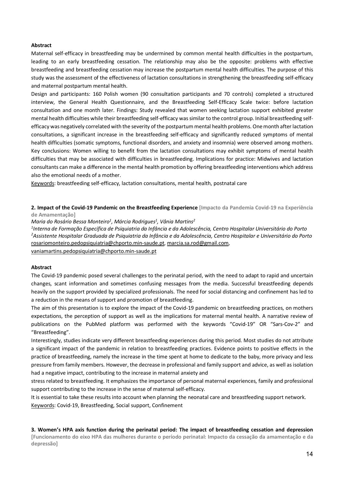#### **Abstract**

Maternal self-efficacy in breastfeeding may be undermined by common mental health difficulties in the postpartum, leading to an early breastfeeding cessation. The relationship may also be the opposite: problems with effective breastfeeding and breastfeeding cessation may increase the postpartum mental health difficulties. The purpose of this study was the assessment of the effectiveness of lactation consultations in strengthening the breastfeeding self-efficacy and maternal postpartum mental health.

Design and participants: 160 Polish women (90 consultation participants and 70 controls) completed a structured interview, the General Health Questionnaire, and the Breastfeeding Self-Efficacy Scale twice: before lactation consultation and one month later. Findings: Study revealed that women seeking lactation support exhibited greater mental health difficulties while their breastfeeding self-efficacy was similar to the control group. Initial breastfeeding selfefficacy was negatively correlated with the severity of the postpartum mental health problems. One month after lactation consultations, a significant increase in the breastfeeding self-efficacy and significantly reduced symptoms of mental health difficulties (somatic symptoms, functional disorders, and anxiety and insomnia) were observed among mothers. Key conclusions: Women willing to benefit from the lactation consultations may exhibit symptoms of mental health difficulties that may be associated with difficulties in breastfeeding. Implications for practice: Midwives and lactation consultants can make a difference in the mental health promotion by offering breastfeeding interventions which address also the emotional needs of a mother.

Keywords: breastfeeding self-efficacy, lactation consultations, mental health, postnatal care

**2. Impact of the Covid-19 Pandemic on the Breastfeeding Experience [Impacto da Pandemia Covid-19 na Experiência de Amamentação]** 

*Maria do Rosário Bessa Monteiro1 , Márcia Rodrigues1 , Vânia Martins2*

*1 Interna de Formação Específica de Psiquiatria da Infância e da Adolescência, Centro Hospitalar Universitário do Porto 2 Assistente Hospitalar Graduada de Psiquiatria da Infância e da Adolescência, Centro Hospitalar e Universitário do Porto* rosariomonteiro.pedopsiquiatria@chporto.min-saude.pt, marcia.sa.rod@gmail.com,

vaniamartins.pedopsiquiatria@chporto.min-saude.pt

#### **Abstract**

The Covid-19 pandemic posed several challenges to the perinatal period, with the need to adapt to rapid and uncertain changes, scant information and sometimes confusing messages from the media. Successful breastfeeding depends heavily on the support provided by specialized professionals. The need for social distancing and confinement has led to a reduction in the means of support and promotion of breastfeeding.

The aim of this presentation is to explore the impact of the Covid-19 pandemic on breastfeeding practices, on mothers expectations, the perception of support as well as the implications for maternal mental health. A narrative review of publications on the PubMed platform was performed with the keywords "Covid-19" OR "Sars-Cov-2" and "Breastfeeding".

Interestingly, studies indicate very different breastfeeding experiences during this period. Most studies do not attribute a significant impact of the pandemic in relation to breastfeeding practices. Evidence points to positive effects in the practice of breastfeeding, namely the increase in the time spent at home to dedicate to the baby, more privacy and less pressure from family members. However, the decrease in professional and family support and advice, as well as isolation had a negative impact, contributing to the increase in maternal anxiety and

stress related to breastfeeding. It emphasizes the importance of personal maternal experiences, family and professional support contributing to the increase in the sense of maternal self-efficacy.

It is essential to take these results into account when planning the neonatal care and breastfeeding support network. Keywords: Covid-19, Breastfeeding, Social support, Confinement

**3. Women's HPA axis function during the perinatal period: The impact of breastfeeding cessation and depression [Funcionamento do eixo HPA das mulheres durante o período perinatal: Impacto da cessação da amamentação e da depressão]**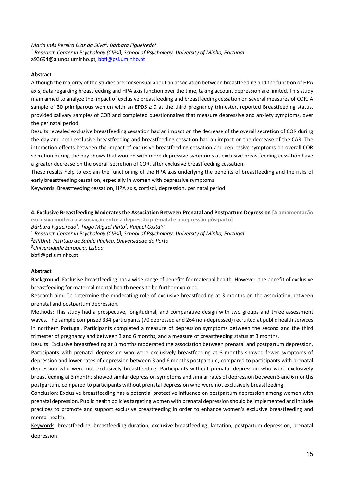*Maria Inês Pereira Dias da Silva1 , Bárbara Figueiredo1 <sup>1</sup> Research Center in Psychology (CIPsi), School of Psychology, University of Minho, Portugal* a93694@alunos.uminho.pt, bbfi@psi.uminho.pt

#### **Abstract**

Although the majority of the studies are consensual about an association between breastfeeding and the function of HPA axis, data regarding breastfeeding and HPA axis function over the time, taking account depression are limited. This study main aimed to analyze the impact of exclusive breastfeeding and breastfeeding cessation on several measures of COR. A sample of 30 primiparous women with an EPDS  $\geq 9$  at the third pregnancy trimester, reported Breastfeeding status, provided salivary samples of COR and completed questionnaires that measure depressive and anxiety symptoms, over the perinatal period.

Results revealed exclusive breastfeeding cessation had an impact on the decrease of the overall secretion of COR during the day and both exclusive breastfeeding and breastfeeding cessation had an impact on the decrease of the CAR. The interaction effects between the impact of exclusive breastfeeding cessation and depressive symptoms on overall COR secretion during the day shows that women with more depressive symptoms at exclusive breastfeeding cessation have a greater decrease on the overall secretion of COR, after exclusive breastfeeding cessation.

These results help to explain the functioning of the HPA axis underlying the benefits of breastfeeding and the risks of early breastfeeding cessation, especially in women with depressive symptoms.

Keywords: Breastfeeding cessation, HPA axis, cortisol, depression, perinatal period

**4. Exclusive Breastfeeding Moderates the Association Between Prenatal and Postpartum Depression [A amamentação exclusiva modera a associação entre a depressão pré-natal e a depressão pós-parto]**  *Bárbara Figueiredo1 , Tiago Miguel Pinto1 , Raquel Costa2,3* <sup>1</sup> *Research Center in Psychology (CIPsi), School of Psychology, University of Minho, Portugal 2 EPIUnit, Instituto de Saúde Pública, Universidade do Porto 3 Universidade Europeia, Lisboa* bbfi@psi.uminho.pt

#### **Abstract**

Background: Exclusive breastfeeding has a wide range of benefits for maternal health. However, the benefit of exclusive breastfeeding for maternal mental health needs to be further explored.

Research aim: To determine the moderating role of exclusive breastfeeding at 3 months on the association between prenatal and postpartum depression.

Methods: This study had a prospective, longitudinal, and comparative design with two groups and three assessment waves. The sample comprised 334 participants (70 depressed and 264 non-depressed) recruited at public health services in northern Portugal. Participants completed a measure of depression symptoms between the second and the third trimester of pregnancy and between 3 and 6 months, and a measure of breastfeeding status at 3 months.

Results: Exclusive breastfeeding at 3 months moderated the association between prenatal and postpartum depression. Participants with prenatal depression who were exclusively breastfeeding at 3 months showed fewer symptoms of depression and lower rates of depression between 3 and 6 months postpartum, compared to participants with prenatal depression who were not exclusively breastfeeding. Participants without prenatal depression who were exclusively breastfeeding at 3 months showed similar depression symptoms and similar rates of depression between 3 and 6 months postpartum, compared to participants without prenatal depression who were not exclusively breastfeeding.

Conclusion: Exclusive breastfeeding has a potential protective influence on postpartum depression among women with prenatal depression. Public health policies targeting women with prenatal depression should be implemented and include practices to promote and support exclusive breastfeeding in order to enhance women's exclusive breastfeeding and mental health.

Keywords: breastfeeding, breastfeeding duration, exclusive breastfeeding, lactation, postpartum depression, prenatal depression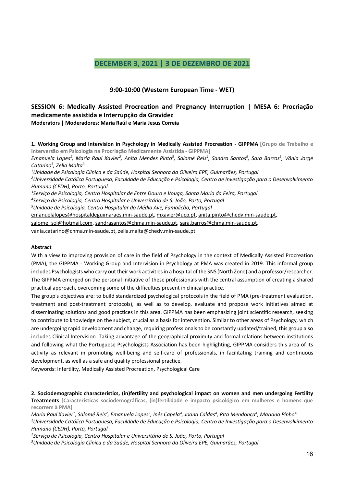## **DECEMBER 3, 2021 | 3 DE DEZEMBRO DE 2021**

## **9:00-10:00 (Western European Time - WET)**

## **SESSION 6: Medically Assisted Procreation and Pregnancy Interruption | MESA 6: Procriação medicamente assistida e Interrupção da Gravidez Moderators | Moderadores: Maria Raúl e Maria Jesus Correia**

**1. Working Group and Intervision in Psychology in Medically Assisted Procreation - GIPPMA [Grupo de Trabalho e Interversão em Psicologia na Procriação Medicamente Assistida - GIPPMA]**  *Emanuela Lopes1 , Maria Raul Xavier2 , Anita Mendes Pinto3 , Salomé Reis4 , Sandra Santos5 , Sara Barros5 , Vânia Jorge Catarino5 , Zelia Malta3 1 Unidade de Psicologia Clínica e da Saúde, Hospital Senhora da Oliveira EPE, Guimarães, Portugal 2 Universidade Católica Portuguesa, Faculdade de Educação e Psicologia, Centro de Investigação para o Desenvolvimento Humano (CEDH), Porto, Portugal 3 Serviço de Psicologia, Centro Hospitalar de Entre Douro e Vouga, Santa Maria da Feira, Portugal 4 Serviço de Psicologia, Centro Hospitalar e Universitário de S. João, Porto, Portugal 5 Unidade de Psicologia, Centro Hospitalar do Médio Ave, Famalicão, Portugal* emanuelalopes@hospitaldeguimaraes.min-saude.pt, mxavier@ucp.pt, anita.pinto@chedv.min-saude.pt,

salome\_sol@hotmail.com, sandrasantos@chma.min-saude.pt, sara.barros@chma.min-saude.pt,

vania.catarino@chma.min-saude.pt, zelia.malta@chedv.min-saude.pt

#### **Abstract**

With a view to improving provision of care in the field of Psychology in the context of Medically Assisted Procreation (PMA), the GIPPMA - Working Group and Intervision in Psychology at PMA was created in 2019. This informal group includes Psychologists who carry out their work activities in a hospital of the SNS (North Zone) and a professor/researcher. The GIPPMA emerged on the personal initiative of these professionals with the central assumption of creating a shared practical approach, overcoming some of the difficulties present in clinical practice.

The group's objectives are: to build standardized psychological protocols in the field of PMA (pre-treatment evaluation, treatment and post-treatment protocols), as well as to develop, evaluate and propose work initiatives aimed at disseminating solutions and good practices in this area. GIPPMA has been emphasizing joint scientific research, seeking to contribute to knowledge on the subject, crucial as a basis for intervention. Similar to other areas of Psychology, which are undergoing rapid development and change, requiring professionals to be constantly updated/trained, this group also includes Clinical Intervision. Taking advantage of the geographical proximity and formal relations between institutions and following what the Portuguese Psychologists Association has been highlighting, GIPPMA considers this area of its activity as relevant in promoting well-being and self-care of professionals, in facilitating training and continuous development, as well as a safe and quality professional practice.

Keywords: Infertility, Medically Assisted Procreation, Psychological Care

**2. Sociodemographic characteristics, (in)fertility and psychological impact on women and men undergoing Fertility Treatments [Características sociodemográficas, (in)fertilidade e impacto psicológico em mulheres e homens que recorrem à PMA]** 

*Maria Raul Xavier1 , Salomé Reis2 , Emanuela Lopes3 , Inês Capela4 , Joana Caldas4 , Rita Mendonça4 , Mariana Pinho4*

*1 Universidade Católica Portuguesa, Faculdade de Educação e Psicologia, Centro de Investigação para o Desenvolvimento Humano (CEDH), Porto, Portugal*

*2 Serviço de Psicologia, Centro Hospitalar e Universitário de S. João, Porto, Portugal*

*3 Unidade de Psicologia Clínica e da Saúde, Hospital Senhora da Oliveira EPE, Guimarães, Portugal*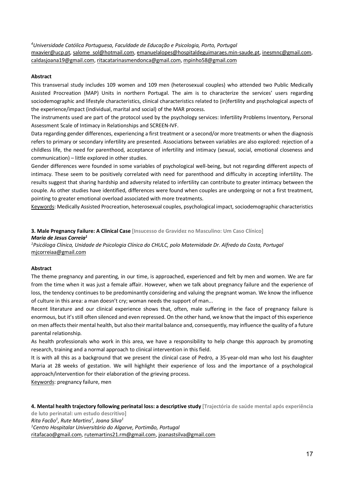*4 Universidade Católica Portuguesa, Faculdade de Educação e Psicologia, Porto, Portugal* mxavier@ucp.pt, salome\_sol@hotmail.com, emanuelalopes@hospitaldeguimaraes.min-saude.pt, inesmnc@gmail.com, caldasjoana19@gmail.com, ritacatarinasmendonca@gmail.com, mpinho58@gmail.com

#### **Abstract**

This transversal study includes 109 women and 109 men (heterosexual couples) who attended two Public Medically Assisted Procreation (MAP) Units in northern Portugal. The aim is to characterize the services' users regarding sociodemographic and lifestyle characteristics, clinical characteristics related to (in)fertility and psychological aspects of the experience/impact (individual, marital and social) of the MAR process.

The instruments used are part of the protocol used by the psychology services: Infertility Problems Inventory, Personal Assessment Scale of Intimacy in Relationships and SCREEN-IVF.

Data regarding gender differences, experiencing a first treatment or a second/or more treatments or when the diagnosis refers to primary or secondary infertility are presented. Associations between variables are also explored: rejection of a childless life, the need for parenthood, acceptance of infertility and intimacy (sexual, social, emotional closeness and communication) – little explored in other studies.

Gender differences were founded in some variables of psychological well-being, but not regarding different aspects of intimacy. These seem to be positively correlated with need for parenthood and difficulty in accepting infertility. The results suggest that sharing hardship and adversity related to infertility can contribute to greater intimacy between the couple. As other studies have identified, differences were found when couples are undergoing or not a first treatment, pointing to greater emotional overload associated with more treatments.

Keywords: Medically Assisted Procreation, heterosexual couples, psychological impact, sociodemographic characteristics

**3. Male Pregnancy Failure: A Clinical Case [Insucesso de Gravidez no Masculino: Um Caso Clínico]**  *Maria de Jesus Correia1*

*1 Psicóloga Clínica, Unidade de Psicologia Clínica do CHULC, polo Maternidade Dr. Alfredo da Costa, Portugal* mjcorreiaa@gmail.com

#### **Abstract**

The theme pregnancy and parenting, in our time, is approached, experienced and felt by men and women. We are far from the time when it was just a female affair. However, when we talk about pregnancy failure and the experience of loss, the tendency continues to be predominantly considering and valuing the pregnant woman. We know the influence of culture in this area: a man doesn't cry; woman needs the support of man...

Recent literature and our clinical experience shows that, often, male suffering in the face of pregnancy failure is enormous, but it's still often silenced and even repressed. On the other hand, we know that the impact of this experience on men affects their mental health, but also their marital balance and, consequently, may influence the quality of a future parental relationship.

As health professionals who work in this area, we have a responsibility to help change this approach by promoting research, training and a normal approach to clinical intervention in this field.

It is with all this as a background that we present the clinical case of Pedro, a 35-year-old man who lost his daughter Maria at 28 weeks of gestation. We will highlight their experience of loss and the importance of a psychological approach/intervention for their elaboration of the grieving process.

Keywords: pregnancy failure, men

**4. Mental health trajectory following perinatal loss: a descriptive study [Trajectória de saúde mental após experiência**

**de luto perinatal: um estudo descritivo]**  *Rita Facão1 , Rute Martins1 , Joana Silva1*

*1 Centro Hospitalar Universitário do Algarve, Portimão, Portugal*

ritafacao@gmail.com, rutemartins21.rm@gmail.com, joanastsilva@gmail.com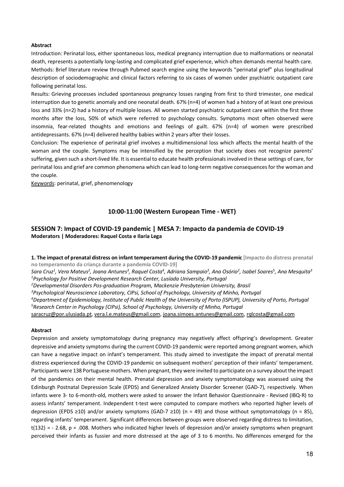#### **Abstract**

Introduction: Perinatal loss, either spontaneous loss, medical pregnancy interruption due to malformations or neonatal death, represents a potentially long-lasting and complicated grief experience, which often demands mental health care. Methods: Brief literature review through Pubmed search engine using the keywords "perinatal grief" plus longitudinal description of sociodemographic and clinical factors referring to six cases of women under psychiatric outpatient care following perinatal loss.

Results: Grieving processes included spontaneous pregnancy losses ranging from first to third trimester, one medical interruption due to genetic anomaly and one neonatal death. 67% (n=4) of women had a history of at least one previous loss and 33% (n=2) had a history of multiple losses. All women started psychiatric outpatient care within the first three months after the loss, 50% of which were referred to psychology consults. Symptoms most often observed were insomnia, fear-related thoughts and emotions and feelings of guilt. 67% (n=4) of women were prescribed antidepressants. 67% (n=4) delivered healthy babies within 2 years after their losses.

Conclusion: The experience of perinatal grief involves a multidimensional loss which affects the mental health of the woman and the couple. Symptoms may be intensified by the perception that society does not recognize parents' suffering, given such a short-lived life. It is essential to educate health professionals involved in these settings of care, for perinatal loss and grief are common phenomena which can lead to long-term negative consequences for the woman and the couple.

Keywords: perinatal, grief, phenomenology

## **10:00-11:00 (Western European Time - WET)**

## **SESSION 7: Impact of COVID-19 pandemic | MESA 7: Impacto da pandemia de COVID-19 Moderators | Moderadores: Raquel Costa e Ilaria Lega**

**1. The impact of prenatal distress on infant temperament during the COVID-19 pandemic [Impacto do distress prenatal no temperamento da criança durante a pandemia COVID-19]** 

*Sara Cruz1 , Vera Mateus2 , Joana Antunes3 , Raquel Costa4 , Adriana Sampaio3 , Ana Osório2 , Isabel Soares5 , Ana Mesquita3 1 Psychology for Positive Development Research Center, Lusíada University, Portugal*

*2 Developmental Disorders Pos-graduation Program, Mackenzie Presbyterian University, Brasil*

*3 Psychological Neuroscience Laboratory, CIPsi, School of Psychology, University of Minho, Portugal*

*4 Department of Epidemiology, Institute of Public Health of the University of Porto (ISPUP), University of Porto, Portugal*

*5 Research Center in Psychology (CIPsi), School of Psychology, University of Minho, Portugal*

saracruz@por.ulusiada.pt, vera.l.e.mateus@gmail.com, joana.simoes.antunes@gmail.com, rqlcosta@gmail.com

#### **Abstract**

Depression and anxiety symptomatology during pregnancy may negatively affect offspring's development. Greater depressive and anxiety symptoms during the current COVID-19 pandemic were reported among pregnant women, which can have a negative impact on infant's temperament. This study aimed to investigate the impact of prenatal mental distress experienced during the COVID-19 pandemic on subsequent mothers' perception of their infants' temperament. Participants were 138 Portuguese mothers. When pregnant, they were invited to participate on a survey about the impact of the pandemics on their mental health. Prenatal depression and anxiety symptomatology was assessed using the Edinburgh Postnatal Depression Scale (EPDS) and Generalized Anxiety Disorder Screener (GAD-7), respectively. When infants were 3- to 6-month-old, mothers were asked to answer the Infant Behavior Questionnaire - Revised (IBQ-R) to assess infants' temperament. Independent t-test were computed to compare mothers who reported higher levels of depression (EPDS ≥10) and/or anxiety symptoms (GAD-7 ≥10) (n = 49) and those without symptomatology (n = 85), regarding infants' temperament. Significant differences between groups were observed regarding distress to limitation,  $t(132) = -2.68$ , p = .008. Mothers who indicated higher levels of depression and/or anxiety symptoms when pregnant perceived their infants as fussier and more distressed at the age of 3 to 6 months. No differences emerged for the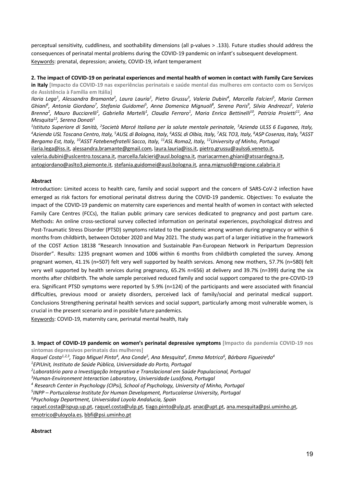perceptual sensitivity, cuddliness, and soothability dimensions (all p-values > .133). Future studies should address the consequences of perinatal mental problems during the COVID-19 pandemic on infant's subsequent development. Keywords: prenatal, depression; anxiety, COVID-19, infant temperament

**2. The impact of COVID-19 on perinatal experiences and mental health of women in contact with Family Care Services** 

**in Italy [Impacto da COVID-19 nas experiências perinatais e saúde mental das mulheres em contacto com os Serviços de Assistência à Família em Itália]** 

Ilaria Lega<sup>1</sup>, Alessandra Bramante<sup>2</sup>, Laura Lauria<sup>1</sup>, Pietro Grussu<sup>3</sup>, Valeria Dubini<sup>4</sup>, Marcella Falcieri<sup>5</sup>, Maria Carmen  $G$ hiani<sup>6</sup>, Antonia Giordano<sup>7</sup>, Stefania Guidomei<sup>5</sup>, Anna Domenica Mignuoli<sup>8</sup>, Serena Paris<sup>9</sup>, Silvia Andreozzi<sup>1</sup>, Valeria Brenna<sup>2</sup>, Mauro Bucciarelli<sup>1</sup>, Gabriella Martelli<sup>1</sup>, Claudia Ferraro<sup>1</sup>, Maria Enrica Bettinelli<sup>10</sup>, Patrizia Proietti<sup>11</sup>, Ana *Mesquita12, Serena Donati1*

<sup>1</sup>Istituto Superiore di Sanità, <sup>2</sup>Società Marcé Italiana per la salute mentale perinatale, <sup>3</sup>Azienda ULSS 6 Euganea, Italy,<br><sup>4</sup>Azienda USI Toscana Centro Italy <sup>5</sup>AUSI di Bologna, Italy <sup>6</sup>ASSI di Olbia, Italy <sup>7</sup>ASI TO Azienda USL Toscana Centro, Italy, <sup>5</sup>AUSL di Bologna, Italy, <sup>6</sup>ASSL di Olbia, Italy, <sup>7</sup>ASL TO3, Italy, <sup>8</sup>ASP Cosenza, Italy, <sup>9</sup>ASST *Bergamo Est, Italy, 10ASST Fatebenefratelli Sacco, Italy, 11ASL Roma2, Italy, 12University of Minho, Portugal* ilaria.lega@iss.it, alessandra.bramante@gmail.com, laura.lauria@iss.it, pietro.grussu@aulss6.veneto.it, valeria.dubini@uslcentro.toscana.it, marcella.falcieri@ausl.bologna.it, mariacarmen.ghiani@atssardegna.it, antogiordano@aslto3.piemonte.it, stefania.guidomei@ausl.bologna.it, anna.mignuoli@regione.calabria.it

#### **Abstract**

Introduction: Limited access to health care, family and social support and the concern of SARS-CoV-2 infection have emerged as risk factors for emotional perinatal distress during the COVID-19 pandemic. Objectives: To evaluate the impact of the COVID-19 pandemic on maternity care experiences and mental health of women in contact with selected Family Care Centres (FCCs), the Italian public primary care services dedicated to pregnancy and post partum care. Methods: An online cross-sectional survey collected information on perinatal experiences, psychological distress and Post-Traumatic Stress Disorder (PTSD) symptoms related to the pandemic among women during pregnancy or within 6 months from childbirth, between October 2020 and May 2021. The study was part of a larger initiative in the framework of the COST Action 18138 "Research Innovation and Sustainable Pan-European Network in Peripartum Depression Disorder". Results: 1235 pregnant women and 1006 within 6 months from childbirth completed the survey. Among pregnant women, 41.1% (n=507) felt very well supported by health services. Among new mothers, 57.7% (n=580) felt very well supported by health services during pregnancy, 65.2% n=656) at delivery and 39.7% (n=399) during the six months after childbirth. The whole sample perceived reduced family and social support compared to the pre-COVID-19 era. Significant PTSD symptoms were reported by 5.9% (n=124) of the participants and were associated with financial difficulties, previous mood or anxiety disorders, perceived lack of family/social and perinatal medical support. Conclusions Strengthening perinatal health services and social support, particularly among most vulnerable women, is crucial in the present scenario and in possible future pandemics.

Keywords: COVID-19, maternity care, perinatal mental health, Italy

**3. Impact of COVID-19 pandemic on women's perinatal depressive symptoms [Impacto da pandemia COVID-19 nos sintomas depressivos perinatais das mulheres]** 

*Raquel Costa1,2,3, Tiago Miguel Pinto4 , Ana Conde5 , Ana Mesquita4 , Emma Motrico6 , Bárbara Figueiredo4*

*1 EPIUnit, Instituto de Saúde Pública, Universidade do Porto, Portugal*

*2 Laboratório para a Investigação Integrativa e Translacional em Saúde Populacional, Portugal*

*3 Human-Environment Interaction Laboratory, Universidade Lusófona, Portugal*

*<sup>4</sup> Research Center in Psychology (CIPsi), School of Psychology, University of Minho, Portugal*

*5 INPP – Portucalense Institute for Human Development, Portucalense University, Portugal*

*6 Psychology Department, Universidad Loyola Andalucia, Spain*

raquel.costa@ispup.up.pt, raquel.costa@ulp.pt, tiago.pinto@ulp.pt, anac@upt.pt, ana.mesquita@psi.uminho.pt, emotrico@uloyola.es, bbfi@psi.uminho.pt

#### **Abstract**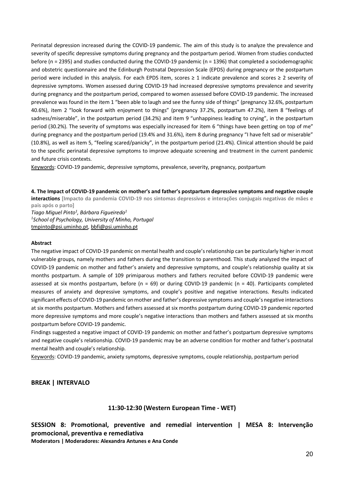Perinatal depression increased during the COVID-19 pandemic. The aim of this study is to analyze the prevalence and severity of specific depressive symptoms during pregnancy and the postpartum period. Women from studies conducted before (n = 2395) and studies conducted during the COVID-19 pandemic (n = 1396) that completed a sociodemographic and obstetric questionnaire and the Edinburgh Postnatal Depression Scale (EPDS) during pregnancy or the postpartum period were included in this analysis. For each EPDS item, scores ≥ 1 indicate prevalence and scores ≥ 2 severity of depressive symptoms. Women assessed during COVID-19 had increased depressive symptoms prevalence and severity during pregnancy and the postpartum period, compared to women assessed before COVID-19 pandemic. The increased prevalence was found in the item 1 "been able to laugh and see the funny side of things" (pregnancy 32.6%, postpartum 40.6%), item 2 "look forward with enjoyment to things" (pregnancy 37.2%, postpartum 47.2%), item 8 "feelings of sadness/miserable", in the postpartum period (34.2%) and item 9 "unhappiness leading to crying", in the postpartum period (30.2%). The severity of symptoms was especially increased for item 6 "things have been getting on top of me" during pregnancy and the postpartum period (19.4% and 31.6%), item 8 during pregnancy "I have felt sad or miserable" (10.8%), as well as item 5, "feeling scared/panicky", in the postpartum period (21.4%). Clinical attention should be paid to the specific perinatal depressive symptoms to improve adequate screening and treatment in the current pandemic and future crisis contexts.

Keywords: COVID-19 pandemic, depressive symptoms, prevalence, severity, pregnancy, postpartum

**4. The Impact of COVID-19 pandemic on mother's and father's postpartum depressive symptoms and negative couple interactions [Impacto da pandemia COVID-19 nos sintomas depressivos e interações conjugais negativas de mães e pais após o parto]** 

*Tiago Miguel Pinto1 , Bárbara Figueiredo1 1 School of Psychology, University of Minho, Portugal* tmpinto@psi.uminho.pt, bbfi@psi.uminho.pt

#### **Abstract**

The negative impact of COVID-19 pandemic on mental health and couple's relationship can be particularly higher in most vulnerable groups, namely mothers and fathers during the transition to parenthood. This study analyzed the impact of COVID-19 pandemic on mother and father's anxiety and depressive symptoms, and couple's relationship quality at six months postpartum. A sample of 109 primiparous mothers and fathers recruited before COVID-19 pandemic were assessed at six months postpartum, before ( $n = 69$ ) or during COVID-19 pandemic ( $n = 40$ ). Participants completed measures of anxiety and depressive symptoms, and couple's positive and negative interactions. Results indicated significant effects of COVID-19 pandemic on mother and father's depressive symptoms and couple's negative interactions at six months postpartum. Mothers and fathers assessed at six months postpartum during COVID-19 pandemic reported more depressive symptoms and more couple's negative interactions than mothers and fathers assessed at six months postpartum before COVID-19 pandemic.

Findings suggested a negative impact of COVID-19 pandemic on mother and father's postpartum depressive symptoms and negative couple's relationship. COVID-19 pandemic may be an adverse condition for mother and father's postnatal mental health and couple's relationship.

Keywords: COVID-19 pandemic, anxiety symptoms, depressive symptoms, couple relationship, postpartum period

## **BREAK | INTERVALO**

## **11:30-12:30 (Western European Time - WET)**

**SESSION 8: Promotional, preventive and remedial intervention | MESA 8: Intervenção promocional, preventiva e remediativa**

**Moderators | Moderadores: Alexandra Antunes e Ana Conde**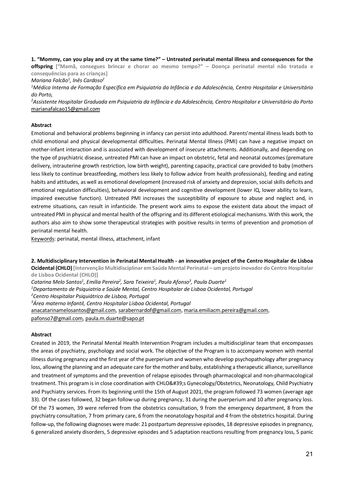**1. "Mommy, can you play and cry at the same time?" – Untreated perinatal mental illness and consequences for the offspring ["Mamã, consegues brincar e chorar ao mesmo tempo?" – Doença perinatal mental não tratada e consequências para as crianças]**

*Mariana Falcão1 , Inês Cardoso2*

*1 Médica Interna de Formação Específica em Psiquiatria da Infância e da Adolescência, Centro Hospitalar e Universitário do Porto,*

*2 Assistente Hospitalar Graduada em Psiquiatria da Infância e da Adolescência, Centro Hospitalar e Universitário do Porto* marianafalcao15@gmail.com

#### **Abstract**

Emotional and behavioral problems beginning in infancy can persist into adulthood. Parents'mental illness leads both to child emotional and physical developmental difficulties. Perinatal Mental Illness (PMI) can have a negative impact on mother-infant interaction and is associated with development of insecure attachments. Additionally, and depending on the type of psychiatric disease, untreated PMI can have an impact on obstetric, fetal and neonatal outcomes (premature delivery, intrauterine growth restriction, low birth weight), parenting capacity, practical care provided to baby (mothers less likely to continue breastfeeding, mothers less likely to follow advice from health professionals), feeding and eating habits and attitudes, as well as emotional development (increased risk of anxiety and depression, social skills deficits and emotional regulation difficulties), behavioral development and cognitive development (lower IQ, lower ability to learn, impaired executive function). Untreated PMI increases the susceptibility of exposure to abuse and neglect and, in extreme situations, can result in infanticide. The present work aims to expose the existent data about the impact of untreated PMI in physical and mental health of the offspring and its different etiological mechanisms. With this work, the authors also aim to show some therapeutical strategies with positive results in terms of prevention and promotion of perinatal mental health.

Keywords: perinatal, mental illness, attachment, infant

**2. Multidisciplinary Intervention in Perinatal Mental Health - an innovative project of the Centro Hospitalar de Lisboa Ocidental (CHLO) [Intervenção Multidisciplinar em Saúde Mental Perinatal – um projeto inovador do Centro Hospitalar de Lisboa Ocidental (CHLO)]** *Catarina Melo Santos1 , Emília Pereira2 , Sara Teixeira1 , Paula Afonso3 , Paula Duarte1*

*1 Departamento de Psiquiatria e Saúde Mental, Centro Hospitalar de Lisboa Ocidental, Portugal*

*2 Centro Hospitalar Psiquiátrico de Lisboa, Portugal*

*3 Área materno Infantil, Centro Hospitalar Lisboa Ocidental, Portugal*

anacatarinamelosantos@gmail.com, sarabernardof@gmail.com, maria.emiliacm.pereira@gmail.com,

pafonso7@gmail.com, paula.m.duarte@sapo.pt

#### **Abstract**

Created in 2019, the Perinatal Mental Health Intervention Program includes a multidisciplinar team that encompasses the areas of psychiatry, psychology and social work. The objective of the Program is to accompany women with mental illness during pregnancy and the first year of the puerperium and women who develop psychopathology after pregnancy loss, allowing the planning and an adequate care for the mother and baby, establishing a therapeutic alliance, surveillance and treatment of symptoms and the prevention of relapse episodes through pharmacological and non-pharmacological treatment. This program is in close coordination with CHLO's Gynecology/Obstetrics, Neonatology, Child Psychiatry and Psychiatry services. From its beginning until the 15th of August 2021, the program followed 73 women (average age 33). Of the cases followed, 32 began follow-up during pregnancy, 31 during the puerperium and 10 after pregnancy loss. Of the 73 women, 39 were referred from the obstetrics consultation, 9 from the emergency department, 8 from the psychiatry consultation, 7 from primary care, 6 from the neonatology hospital and 4 from the obstetrics hospital. During follow-up, the following diagnoses were made: 21 postpartum depressive episodes, 18 depressive episodes in pregnancy, 6 generalized anxiety disorders, 5 depressive episodes and 5 adaptation reactions resulting from pregnancy loss, 5 panic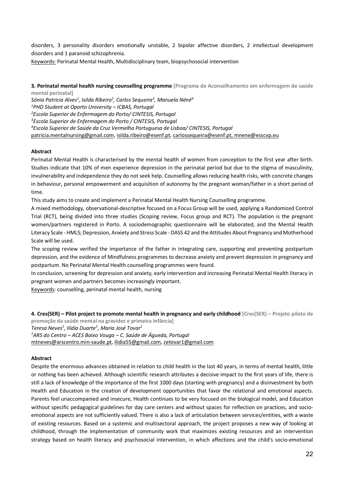disorders, 3 personality disorders emotionally unstable, 2 bipolar affective disorders, 2 intellectual development disorders and 1 paranoid schizophrenia.

Keywords: Perinatal Mental Health, Multidisciplinary team, biopsychosocial intervention

**3. Perinatal mental health nursing counselling programme [Programa de Aconselhamento em enfermagem de saúde mental perinatal]** 

*Sónia Patricia Alves1 , Isilda Ribeiro2 , Carlos Sequeira3 , Manuela Néné4 PHD Student at Oporto University – ICBAS, Portugal Escola Superior de Enfermagem do Porto/ CINTESIS, Portugal Escola Superior de Enfermagem do Porto / CINTESIS, Portugal Escola Superior de Saúde da Cruz Vermelha Portuguesa de Lisboa/ CINTESIS, Portugal* patricia.mentalnursing@gmail.com, isilda.ribeiro@esenf.pt, carlossequeira@esenf.pt, mnene@esscvp.eu

#### **Abstract**

Perinatal Mental Health is characterised by the mental health of women from conception to the first year after birth. Studies indicate that 10% of men experience depression in the perinatal period but due to the stigma of masculinity, invulnerability and independence they do not seek help. Counselling allows reducing health risks, with concrete changes in behaviour, personal empowerment and acquisition of autonomy by the pregnant woman/father in a short period of time.

This study aims to create and implement a Perinatal Mental Health Nursing Counselling programme.

A mixed methodology, observational-descriptive focused on a Focus Group will be used, applying a Randomized Control Trial (RCT), being divided into three studies (Scoping review, Focus group and RCT). The population is the pregnant women/partners registered in Porto. A sociodemographic questionnaire will be elaborated, and the Mental Health Literacy Scale - HMLS; Depression, Anxiety and Stress Scale - DASS 42 and the Attitudes About Pregnancy and Motherhood Scale will be used.

The scoping review verified the importance of the father in integrating care, supporting and preventing postpartum depression, and the evidence of Mindfulness programmes to decrease anxiety and prevent depression in pregnancy and postpartum. No Perinatal Mental Health counselling programmes were found.

In conclusion, screening for depression and anxiety, early intervention and increasing Perinatal Mental Health literacy in pregnant women and partners becomes increasingly important.

Keywords: counselling, perinatal mental health, nursing

**4. Cres(SER) – Pilot project to promote mental health in pregnancy and early childhood [Cres(SER) – Projeto piloto de promoção da saúde mental na gravidez e primeira infância]**  *Teresa Neves1 , Ilídia Duarte1 , Maria José Tovar1 1 ARS do Centro – ACES Baixo Vouga – C. Saúde de Águeda, Portugal*

mtneves@arscentro.min-saude.pt, ilidia55@gmail.com, zetovar1@gmail.com

#### **Abstract**

Despite the enormous advances obtained in relation to child health in the last 40 years, in terms of mental health, little or nothing has been achieved. Although scientific research attributes a decisive impact to the first years of life, there is still a lack of knowledge of the importance of the first 1000 days (starting with pregnancy) and a disinvestment by both Health and Education in the creation of development opportunities that favor the relational and emotional aspects. Parents feel unaccompanied and insecure, Health continues to be very focused on the biological model, and Education without specific pedagogical guidelines for day care centers and without spaces for reflection on practices, and socioemotional aspects are not sufficiently valued. There is also a lack of articulation between services/entities, with a waste of existing resources. Based on a systemic and multisectoral approach, the project proposes a new way of looking at childhood, through the implementation of community work that maximizes existing resources and an intervention strategy based on health literacy and psychosocial intervention, in which affections and the child's socio-emotional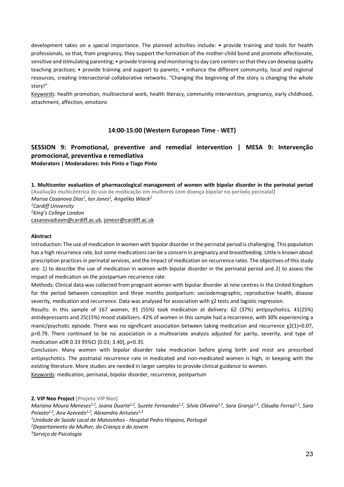development takes on a special importance. The planned activities include: • provide training and tools for health professionals, so that, from pregnancy, they support the formation of the mother-child bond and promote affectionate, sensitive and stimulating parenting; • provide training and monitoring to day care centers so that they can develop quality teaching practices; • provide training and support to parents; • enhance the different community, local and regional resources, creating intersectorial collaborative networks. "Changing the beginning of the story is changing the whole story!"

Keywords: health promotion, multisectoral work, health literacy, community intervention, pregnancy, early childhood, attachment, affection, emotions

## **14:00-15:00 (Western European Time - WET)**

## **SESSION 9: Promotional, preventive and remedial intervention | MESA 9: Intervenção promocional, preventiva e remediativa Moderators | Moderadores: Inês Pinto e Tiago Pinto**

**1. Multicenter evaluation of pharmacological management of women with bipolar disorder in the perinatal period [Avaliação multicêntrica do uso de medicação em mulheres com doença bipolar no período perinatal]**  *Marisa Casanova Dias1 , Ian Jones1 , Angelika Wieck2 1 Cardiff University 2 King's College London* casanovadiasm@cardiff.ac.uk, jonesir@cardiff.ac.uk

#### **Abstract**

Introduction: The use of medication in women with bipolar disorder in the perinatal period is challenging. This population has a high recurrence rate, but some medications can be a concern in pregnancy and breastfeeding. Little is known about prescription practices in perinatal services, and the impact of medication on recurrence rates. The objectives of this study are: 1) to describe the use of medication in women with bipolar disorder in the perinatal period and 2) to assess the impact of medication on the postpartum recurrence rate.

Methods: Clinical data was collected from pregnant women with bipolar disorder at nine centres in the United Kingdom for the period between conception and three months postpartum: sociodemographic, reproductive health, disease severity, medication and recurrence. Data was analysed for association with χ2 tests and logistic regression.

Results: In this sample of 167 women, 91 (55%) took medication at delivery: 62 (37%) antipsychotics, 41(25%) antidepressants and 25(15%) mood stabilizers. 42% of women in this sample had a recurrence, with 30% experiencing a manic/psychotic episode. There was no significant association between taking medication and recurrence χ2(1)=0.07, p=0.79. There continued to be no association in a multivariate analysis adjusted for parity, severity, and type of medication aOR 0.33 95%CI [0.03; 3.40], p=0.35.

Conclusion: Many women with bipolar disorder take medication before giving birth and most are prescribed antipsychotics. The postnatal recurrence rate in medicated and non-medicated women is high, in keeping with the existing literature. More studies are needed in larger samples to provide clinical guidance to women.

Keywords: medication, perinatal, bipolar disorder, recurrence, postpartum

**2. VIP Neo Project [Projeto VIP Neo]** 

*1 Unidade de Saúde Local de Matosinhos - Hospital Pedro Hispano, Portugal*

*2 Departamento da Mulher, da Criança e do Jovem*

*3 Serviço de Psicologia* 

*Mariana Moura Meneses1,2, Joana Duarte1,2, Suzete Fernandes1,2, Silvia Oliveira1,2, Sara Granja1,2, Cláudia Ferraz1,2, Sara*  Peixoto<sup>1,2</sup>, Ana Azevedo<sup>1,2</sup>, Alexandra Antunes<sup>1,3</sup>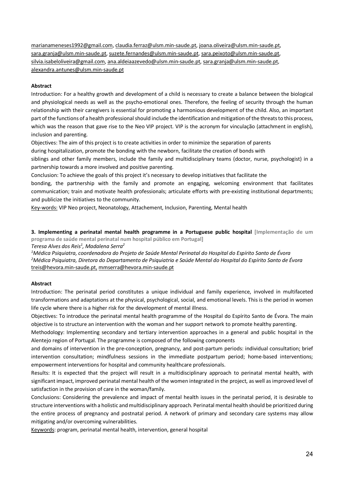marianameneses1992@gmail.com, claudia.ferraz@ulsm.min-saude.pt, joana.oliveira@ulsm.min-saude.pt, sara.granja@ulsm.min-saude.pt, suzete.fernandes@ulsm.min-saude.pt, sara.peixoto@ulsm.min-saude.pt, silvia.isabeloliveira@gmail.com, ana.aldeiaazevedo@ulsm.min-saude.pt, sara.granja@ulsm.min-saude.pt, alexandra.antunes@ulsm.min-saude.pt

#### **Abstract**

Introduction: For a healthy growth and development of a child is necessary to create a balance between the biological and physiological needs as well as the psycho-emotional ones. Therefore, the feeling of security through the human relationship with their caregivers is essential for promoting a harmonious development of the child. Also, an important part of the functions of a health professional should include the identification and mitigation of the threats to this process, which was the reason that gave rise to the Neo VIP project. VIP is the acronym for vinculação (attachment in english), inclusion and parenting.

Objectives: The aim of this project is to create activities in order to minimize the separation of parents during hospitalization, promote the bonding with the newborn, facilitate the creation of bonds with

siblings and other family members, include the family and multidisciplinary teams (doctor, nurse, psychologist) in a partnership towards a more involved and positive parenting.

Conclusion: To achieve the goals of this project it's necessary to develop initiatives that facilitate the

bonding, the partnership with the family and promote an engaging, welcoming environment that facilitates communication; train and motivate health professionals; articulate efforts with pre-existing institutional departments; and publicize the initiatives to the community.

Key-words: VIP Neo project, Neonatology, Attachement, Inclusion, Parenting, Mental health

**3. Implementing a perinatal mental health programme in a Portuguese public hospital [Implementação de um programa de saúde mental perinatal num hospital público em Portugal]** 

*Teresa Alves dos Reis1 , Madalena Serra2*

*1 Médica Psiquiatra, coordenadora do Projeto de Saúde Mental Perinatal do Hospital do Espírito Santo de Évora 2 Médica Psiquiatra, Diretora do Departamento de Psiquiatria e Saúde Mental do Hospital do Espírito Santo de Évora* treis@hevora.min-saude.pt, mmserra@hevora.min-saude.pt

#### **Abstract**

Introduction: The perinatal period constitutes a unique individual and family experience, involved in multifaceted transformations and adaptations at the physical, psychological, social, and emotional levels. This is the period in women life cycle where there is a higher risk for the development of mental illness.

Objectives: To introduce the perinatal mental health programme of the Hospital do Espírito Santo de Évora. The main objective is to structure an intervention with the woman and her support network to promote healthy parenting.

Methodology: Implementing secondary and tertiary intervention approaches in a general and public hospital in the Alentejo region of Portugal. The programme is composed of the following components

and domains of intervention in the pre-conception, pregnancy, and post-partum periods: individual consultation; brief intervention consultation; mindfulness sessions in the immediate postpartum period; home-based interventions; empowerment interventions for hospital and community healthcare professionals.

Results: It is expected that the project will result in a multidisciplinary approach to perinatal mental health, with significant impact, improved perinatal mental health of the women integrated in the project, as well as improved level of satisfaction in the provision of care in the woman/family.

Conclusions: Considering the prevalence and impact of mental health issues in the perinatal period, it is desirable to structure interventions with a holistic and multidisciplinary approach. Perinatal mental health should be prioritized during the entire process of pregnancy and postnatal period. A network of primary and secondary care systems may allow mitigating and/or overcoming vulnerabilities.

Keywords: program, perinatal mental health, intervention, general hospital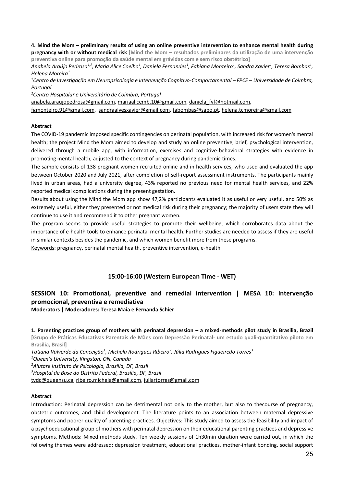**4. Mind the Mom – preliminary results of using an online preventive intervention to enhance mental health during pregnancy with or without medical risk [Mind the Mom – resultados preliminares da utilização de uma intervenção preventiva online para promoção da saúde mental em grávidas com e sem risco obstétrico]** 

Anabela Araújo Pedrosa<sup>1,2</sup>, Maria Alice Coelho<sup>1</sup>, Daniela Fernandes<sup>1</sup>, Fabiana Monteiro<sup>1</sup>, Sandra Xavier<sup>1</sup>, Teresa Bombas<sup>1</sup>, *Helena Moreira1*

*1 Centro de Investigação em Neuropsicologia e Intervenção Cognitivo-Comportamental – FPCE – Universidade de Coimbra, Portugal*

*2 Centro Hospitalar e Universitário de Coimbra, Portugal*

anabela.araujopedrosa@gmail.com, mariaalicemb.10@gmail.com, daniela\_fvf@hotmail.com,

fgmonteiro.91@gmail.com, sandraalvesxavier@gmail.com, tabombas@sapo.pt, helena.tcmoreira@gmail.com

#### **Abstract**

The COVID-19 pandemic imposed specific contingencies on perinatal population, with increased risk for women's mental health; the project Mind the Mom aimed to develop and study an online preventive, brief, psychological intervention, delivered through a mobile app, with information, exercises and cognitive-behavioral strategies with evidence in promoting mental health, adjusted to the context of pregnancy during pandemic times.

The sample consists of 138 pregnant women recruited online and in health services, who used and evaluated the app between October 2020 and July 2021, after completion of self-report assessment instruments. The participants mainly lived in urban areas, had a university degree, 43% reported no previous need for mental health services, and 22% reported medical complications during the present gestation.

Results about using the Mind the Mom app show 47,2% participants evaluated it as useful or very useful, and 50% as extremely useful, either they presented or not medical risk during their pregnancy; the majority of users state they will continue to use it and recommend it to other pregnant women.

The program seems to provide useful strategies to promote their wellbeing, which corroborates data about the importance of e-health tools to enhance perinatal mental health. Further studies are needed to assess if they are useful in similar contexts besides the pandemic, and which women benefit more from these programs.

Keywords: pregnancy, perinatal mental health, preventive intervention, e-health

## **15:00-16:00 (Western European Time - WET)**

## **SESSION 10: Promotional, preventive and remedial intervention | MESA 10: Intervenção promocional, preventiva e remediativa**

**Moderators | Moderadores: Teresa Maia e Fernanda Schier**

**1. Parenting practices group of mothers with perinatal depression – a mixed-methods pilot study in Brasilia, Brazil [Grupo de Práticas Educativas Parentais de Mães com Depressão Perinatal- um estudo quali-quantitativo piloto em Brasília, Brasil]** 

*Tatiana Valverde da Conceição1 , Michela Rodrigues Ribeiro2 , Júlia Rodrigues Figueiredo Torres3*

*1 Queen's University, Kingston, ON, Canada*

*2 Aiutare Instituto de Psicologia, Brasília, DF, Brasil*

*3 Hospital de Base do Distrito Federal, Brasília, DF, Brasil* 

tvdc@queensu.ca, ribeiro.michela@gmail.com, juliartorres@gmail.com

#### **Abstract**

Introduction: Perinatal depression can be detrimental not only to the mother, but also to thecourse of pregnancy, obstetric outcomes, and child development. The literature points to an association between maternal depressive symptoms and poorer quality of parenting practices. Objectives: This study aimed to assess the feasibility and impact of a psychoeducational group of mothers with perinatal depression on their educational parenting practices and depressive symptoms. Methods: Mixed methods study. Ten weekly sessions of 1h30min duration were carried out, in which the following themes were addressed: depression treatment, educational practices, mother-infant bonding, social support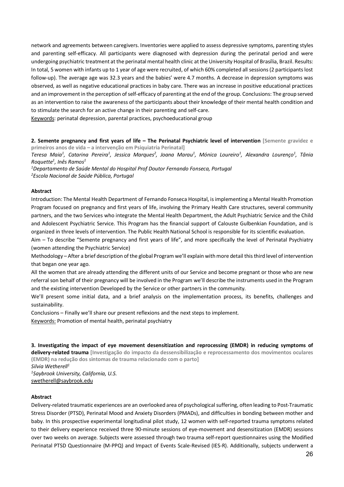network and agreements between caregivers. Inventories were applied to assess depressive symptoms, parenting styles and parenting self-efficacy. All participants were diagnosed with depression during the perinatal period and were undergoing psychiatric treatment at the perinatal mental health clinic at the University Hospital of Brasília, Brazil. Results: In total, 5 women with infants up to 1 year of age were recruited, of which 60% completed all sessions (2 participants lost follow-up). The average age was 32.3 years and the babies' were 4.7 months. A decrease in depression symptoms was observed, as well as negative educational practices in baby care. There was an increase in positive educational practices and an improvement in the perception of self-efficacy of parenting at the end of the group. Conclusions: The group served as an intervention to raise the awareness of the participants about their knowledge of their mental health condition and to stimulate the search for an active change in their parenting and self-care.

Keywords: perinatal depression, parental practices, psychoeducational group

#### **2. Semente pregnancy and first years of life – The Perinatal Psychiatric level of intervention [Semente gravidez e primeiros anos de vida – a intervenção em Psiquiatria Perinatal]**

*Teresa Maia1 , Catarina Pereira1 , Jessica Marques2 , Joana Marau1 , Mónica Loureiro1 , Alexandra Lourenço1 , Tânia Roquette1 , Inês Ramos1*

*1 Departamento de Saúde Mental do Hospital Prof Doutor Fernando Fonseca, Portugal 2 Escola Nacional de Saúde Pública, Portugal* 

#### **Abstract**

Introduction: The Mental Health Department of Fernando Fonseca Hospital, is implementing a Mental Health Promotion Program focused on pregnancy and first years of life, involving the Primary Health Care structures, several community partners, and the two Services who integrate the Mental Health Department, the Adult Psychiatric Service and the Child and Adolescent Psychiatric Service. This Program has the financial support of Calouste Gulbenkian Foundation, and is organized in three levels of intervention. The Public Health National School is responsible for its scientific evaluation.

Aim – To describe "Semente pregnancy and first years of life", and more specifically the level of Perinatal Psychiatry (women attending the Psychiatric Service)

Methodology – After a brief description of the global Program we'll explain with more detail this third level of intervention that began one year ago.

All the women that are already attending the different units of our Service and become pregnant or those who are new referral son behalf of their pregnancy will be involved in the Program we'll describe the instruments used in the Program and the existing intervention Developed by the Service or other partners in the community.

We'll present some initial data, and a brief analysis on the implementation process, its benefits, challenges and sustainability.

Conclusions – Finally we'll share our present reflexions and the next steps to implement.

Keywords: Promotion of mental health, perinatal psychiatry

**3. Investigating the impact of eye movement desensitization and reprocessing (EMDR) in reducing symptoms of delivery-related trauma [Investigação do impacto da dessensibilização e reprocessamento dos movimentos oculares (EMDR) na redução dos sintomas de trauma relacionado com o parto]**  *Silvia Wetherell1 1 Saybrook University, California, U.S.* swetherell@saybrook.edu

#### **Abstract**

Delivery-related traumatic experiences are an overlooked area of psychological suffering, often leading to Post-Traumatic Stress Disorder (PTSD), Perinatal Mood and Anxiety Disorders (PMADs), and difficulties in bonding between mother and baby. In this prospective experimental longitudinal pilot study, 12 women with self-reported trauma symptoms related to their delivery experience received three 90-minute sessions of eye-movement and desensitization (EMDR) sessions over two weeks on average. Subjects were assessed through two trauma self-report questionnaires using the Modified Perinatal PTSD Questionnaire (M-PPQ) and Impact of Events Scale-Revised (IES-R). Additionally, subjects underwent a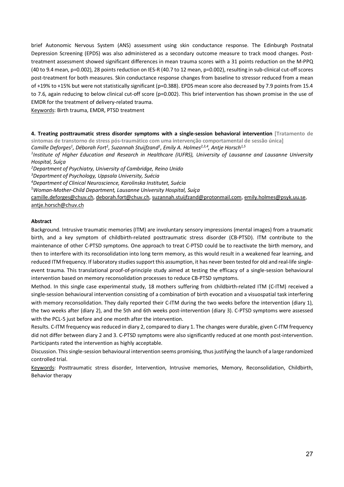brief Autonomic Nervous System (ANS) assessment using skin conductance response. The Edinburgh Postnatal Depression Screening (EPDS) was also administered as a secondary outcome measure to track mood changes. Posttreatment assessment showed significant differences in mean trauma scores with a 31 points reduction on the M-PPQ (40 to 9.4 mean, p=0.002), 28 points reduction on IES-R (40.7 to 12 mean, p=0.002), resulting in sub-clinical cut-off scores post-treatment for both measures. Skin conductance response changes from baseline to stressor reduced from a mean of +19% to +15% but were not statistically significant (p=0.388). EPDS mean score also decreased by 7.9 points from 15.4 to 7.6, again reducing to below clinical cut-off score (p=0.002). This brief intervention has shown promise in the use of EMDR for the treatment of delivery-related trauma.

Keywords: Birth trauma, EMDR, PTSD treatment

**4. Treating posttraumatic stress disorder symptoms with a single-session behavioral intervention [Tratamento de** 

**sintomas de transtorno de stress pós-traumático com uma intervenção comportamental de sessão única]** 

*Camille Deforges1 , Déborah Fort1 , Suzannah Stuijfzand1 , Emily A. Holmes2,3,4, Antje Horsch1,5*

*1 Institute of Higher Education and Research in Healthcare (IUFRS), University of Lausanne and Lausanne University Hospital, Suíça*

*2 Department of Psychiatry, University of Cambridge, Reino Unido*

*3 Department of Psychology, Uppsala University, Suécia*

*4 Department of Clinical Neuroscience, Karolinska Institutet, Suécia*

*5 Woman-Mother-Child Department, Lausanne University Hospital, Suíça*

camille.deforges@chuv.ch, deborah.fort@chuv.ch, suzannah.stuijfzand@protonmail.com, emily.holmes@psyk.uu.se, antje.horsch@chuv.ch

#### **Abstract**

Background. Intrusive traumatic memories (ITM) are involuntary sensory impressions (mental images) from a traumatic birth, and a key symptom of childbirth-related posttraumatic stress disorder (CB-PTSD). ITM contribute to the maintenance of other C-PTSD symptoms. One approach to treat C-PTSD could be to reactivate the birth memory, and then to interfere with its reconsolidation into long term memory, as this would result in a weakened fear learning, and reduced ITM frequency. If laboratory studies support this assumption, it has never been tested for old and real-life singleevent trauma. This translational proof-of-principle study aimed at testing the efficacy of a single-session behavioural intervention based on memory reconsolidation processes to reduce CB-PTSD symptoms.

Method. In this single case experimental study, 18 mothers suffering from childbirth-related ITM (C-ITM) received a single-session behavioural intervention consisting of a combination of birth evocation and a visuospatial task interfering with memory reconsolidation. They daily reported their C-ITM during the two weeks before the intervention (diary 1), the two weeks after (diary 2), and the 5th and 6th weeks post-intervention (diary 3). C-PTSD symptoms were assessed with the PCL-5 just before and one month after the intervention.

Results. C-ITM frequency was reduced in diary 2, compared to diary 1. The changes were durable, given C-ITM frequency did not differ between diary 2 and 3. C-PTSD symptoms were also significantly reduced at one month post-intervention. Participants rated the intervention as highly acceptable.

Discussion. This single-session behavioural intervention seems promising, thus justifying the launch of a large randomized controlled trial.

Keywords: Posttraumatic stress disorder, Intervention, Intrusive memories, Memory, Reconsolidation, Childbirth, Behavior therapy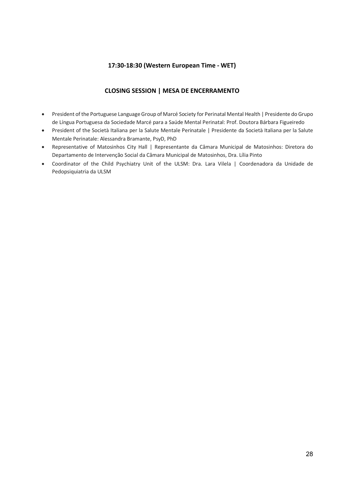## **17:30-18:30 (Western European Time - WET)**

## **CLOSING SESSION | MESA DE ENCERRAMENTO**

- President of the Portuguese Language Group of Marcé Society for Perinatal Mental Health | Presidente do Grupo de Língua Portuguesa da Sociedade Marcé para a Saúde Mental Perinatal: Prof. Doutora Bárbara Figueiredo
- President of the Società Italiana per la Salute Mentale Perinatale | Presidente da Società Italiana per la Salute Mentale Perinatale: Alessandra Bramante, PsyD, PhD
- Representative of Matosinhos City Hall | Representante da Câmara Municipal de Matosinhos: Diretora do Departamento de Intervenção Social da Câmara Municipal de Matosinhos, Dra. Lília Pinto
- Coordinator of the Child Psychiatry Unit of the ULSM: Dra. Lara Vilela | Coordenadora da Unidade de Pedopsiquiatria da ULSM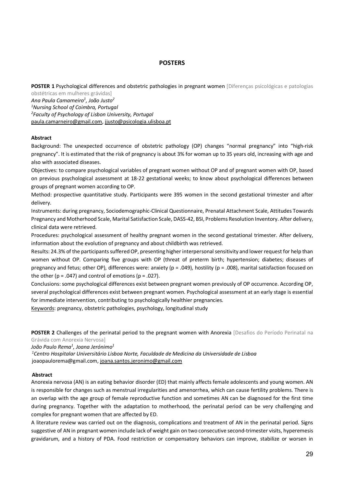#### **POSTERS**

**POSTER 1 Psychological differences and obstetric pathologies in pregnant women [Diferencas psicológicas e patologias** obstétricas em mulheres grávidas]

*Ana Paula Camarneiro1 , João Justo2 1 Nursing School of Coimbra, Portugal 2 Faculty of Psychology of Lisbon University, Portugal* paula.camarneiro@gmail.com, jjusto@psicologia.ulisboa.pt

#### **Abstract**

Background: The unexpected occurrence of obstetric pathology (OP) changes "normal pregnancy" into "high-risk pregnancy". It is estimated that the risk of pregnancy is about 3% for woman up to 35 years old, increasing with age and also with associated diseases.

Objectives: to compare psychological variables of pregnant women without OP and of pregnant women with OP, based on previous psychological assessment at 18-22 gestational weeks; to know about psychological differences between groups of pregnant women according to OP.

Method: prospective quantitative study. Participants were 395 women in the second gestational trimester and after delivery.

Instruments: during pregnancy, Sociodemographic-Clinical Questionnaire, Prenatal Attachment Scale, Attitudes Towards Pregnancy and Motherhood Scale, Marital Satisfaction Scale, DASS-42, BSI, Problems Resolution Inventory. After delivery, clinical data were retrieved.

Procedures: psychological assessment of healthy pregnant women in the second gestational trimester. After delivery, information about the evolution of pregnancy and about childbirth was retrieved.

Results: 24.3% of the participants suffered OP, presenting higher interpersonal sensitivity and lower request for help than women without OP. Comparing five groups with OP (threat of preterm birth; hypertension; diabetes; diseases of pregnancy and fetus; other OP), differences were: anxiety (p = .049), hostility (p = .008), marital satisfaction focused on the other ( $p = .047$ ) and control of emotions ( $p = .027$ ).

Conclusions: some psychological differences exist between pregnant women previously of OP occurrence. According OP, several psychological differences exist between pregnant women. Psychological assessment at an early stage is essential for immediate intervention, contributing to psychologically healthier pregnancies.

Keywords: pregnancy, obstetric pathologies, psychology, longitudinal study

**POSTER 2** Challenges of the perinatal period to the pregnant women with Anorexia [Desafios do Período Perinatal na Grávida com Anorexia Nervosa]

*João Paulo Rema1 , Joana Jerónimo1*

*1 Centro Hospitalar Universitário Lisboa Norte, Faculdade de Medicina da Universidade de Lisboa* joaopaulorema@gmail.com, joana.santos.jeronimo@gmail.com

#### **Abstract**

Anorexia nervosa (AN) is an eating behavior disorder (ED) that mainly affects female adolescents and young women. AN is responsible for changes such as menstrual irregularities and amenorrhea, which can cause fertility problems. There is an overlap with the age group of female reproductive function and sometimes AN can be diagnosed for the first time during pregnancy. Together with the adaptation to motherhood, the perinatal period can be very challenging and complex for pregnant women that are affected by ED.

A literature review was carried out on the diagnosis, complications and treatment of AN in the perinatal period. Signs suggestive of AN in pregnant women include lack of weight gain on two consecutive second-trimester visits, hyperemesis gravidarum, and a history of PDA. Food restriction or compensatory behaviors can improve, stabilize or worsen in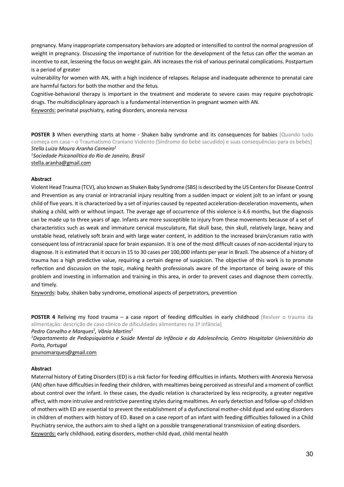pregnancy. Many inappropriate compensatory behaviors are adopted or intensified to control the normal progression of weight in pregnancy. Discussing the importance of nutrition for the development of the fetus can offer the woman an incentive to eat, lessening the focus on weight gain. AN increases the risk of various perinatal complications. Postpartum is a period of greater

vulnerability for women with AN, with a high incidence of relapses. Relapse and inadequate adherence to prenatal care are harmful factors for both the mother and the fetus.

Cognitive-behavioral therapy is important in the treatment and moderate to severe cases may require psychotropic drugs. The multidisciplinary approach is a fundamental intervention in pregnant women with AN.

Keywords: perinatal psychiatry, eating disorders, anorexia nervosa

**POSTER 3** When everything starts at home - Shaken baby syndrome and its consequences for babies [Quando tudo começa em casa – o Traumatismo Craniano Violento (Síndrome do bebé sacudido) e suas consequências para os bebés] *Stella Luiza Moura Aranha Carneiro1 1 Sociedade Psicanalítica do Rio de Janeiro, Brasil*

stella.aranha@gmail.com

#### **Abstract**

Violent Head Trauma (TCV), also known as Shaken Baby Syndrome (SBS) is described by the US Centers for Disease Control and Prevention as any cranial or intracranial injury resulting from a sudden impact or violent jolt to an infant or young child of five years. It is characterized by a set of injuries caused by repeated acceleration-deceleration movements, when shaking a child, with or without impact. The average age of occurrence of this violence is 4.6 months, but the diagnosis can be made up to three years of age. Infants are more susceptible to injury from these movements because of a set of characteristics such as weak and immature cervical musculature, flat skull base, thin skull, relatively large, heavy and unstable head, relatively soft brain and with large water content, in addition to the increased brain/cranium ratio with consequent loss of intracranial space for brain expansion. It is one of the most difficult causes of non-accidental injury to diagnose. It is estimated that it occurs in 15 to 30 cases per 100,000 infants per year in Brazil. The absence of a history of trauma has a high predictive value, requiring a certain degree of suspicion. The objective of this work is to promote reflection and discussion on the topic, making health professionals aware of the importance of being aware of this problem and investing in information and training in this area, in order to prevent cases and diagnose them correctly. and timely.

Keywords: baby, shaken baby syndrome, emotional aspects of perpetrators, prevention

**POSTER 4** Reliving my food trauma – a case report of feeding difficulties in early childhood [Reviver o trauma da alimentação: descrição de caso clínico de dificuldades alimentares na 1ª infância] *Pedro Carvalho e Marques1 , Vânia Martins1*

*1 Departamento de Pedopsiquiatria e Saúde Mental da Infância e da Adolescência, Centro Hospitalar Universitário do Porto, Portugal* 

pnunomarques@gmail.com

#### **Abstract**

Maternal history of Eating Disorders (ED) is a risk factor for feeding difficulties in infants. Mothers with Anorexia Nervosa (AN) often have difficulties in feeding their children, with mealtimes being perceived as stressful and a moment of conflict about control over the infant. In these cases, the dyadic relation is characterized by less reciprocity, a greater negative affect, with more intrusive and restrictive parenting styles during mealtimes. An early detection and follow-up of children of mothers with ED are essential to prevent the establishment of a dysfunctional mother-child dyad and eating disorders in children of mothers with history of ED. Based on a case report of an infant with feeding difficulties followed in a Child Psychiatry service, the authors aim to shed a light on a possible transgenerational transmission of eating disorders. Keywords: early childhood, eating disorders, mother-child dyad, child mental health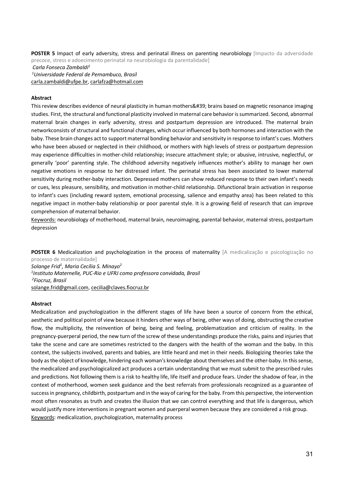**POSTER 5** Impact of early adversity, stress and perinatal illness on parenting neurobiology [Impacto da adversidade precoce, stress e adoecimento perinatal na neurobiologia da parentalidade] *Carla Fonseca Zambaldi1 1 Universidade Federal de Pernambuco, Brasil* carla.zambaldi@ufpe.br, carlafza@hotmail.com

#### **Abstract**

This review describes evidence of neural plasticity in human mothers' brains based on magnetic resonance imaging studies. First, the structural and functional plasticity involved in maternal care behavior is summarized. Second, abnormal maternal brain changes in early adversity, stress and postpartum depression are introduced. The maternal brain networkconsists of structural and functional changes, which occur influenced by both hormones and interaction with the baby. These brain changes act to support maternal bonding behavior and sensitivity in response to infant's cues. Mothers who have been abused or neglected in their childhood, or mothers with high levels of stress or postpartum depression may experience difficulties in mother-child relationship; insecure attachment style; or abusive, intrusive, neglectful, or generally 'poor' parenting style. The childhood adversity negatively influences mother's ability to manage her own negative emotions in response to her distressed infant. The perinatal stress has been associated to lower maternal sensitivity during mother-baby interaction. Depressed mothers can show reduced response to their own infant's needs or cues, less pleasure, sensibility, and motivation in mother-child relationship. Difunctional brain activation in response to infant's cues (including reward system, emotional processing, salience and empathy area) has been related to this negative impact in mother-baby relationship or poor parental style. It is a growing field of research that can improve comprehension of maternal behavior.

Keywords: neurobiology of motherhood, maternal brain, neuroimaging, parental behavior, maternal stress, postpartum depression

**POSTER 6** Medicalization and psychologization in the process of maternality [A medicalização e psicologização no processo de maternalidade]

*Solange Frid1 , Maria Cecília S. Minayo2 1 Instituto Maternelle, PUC-Rio e UFRJ como professora convidada, Brasil 2 Fiocruz, Brasil* solange.frid@gmail.com, cecilia@claves.fiocruz.br

#### **Abstract**

Medicalization and psychologization in the different stages of life have been a source of concern from the ethical, aesthetic and political point of view because it hinders other ways of being, other ways of doing, obstructing the creative flow, the multiplicity, the reinvention of being, being and feeling, problematization and criticism of reality. In the pregnancy-puerperal period, the new turn of the screw of these understandings produce the risks, pains and injuries that take the scene and care are sometimes restricted to the dangers with the health of the woman and the baby. In this context, the subjects involved, parents and babies, are little heard and met in their needs. Biologizing theories take the body as the object of knowledge, hindering each woman's knowledge about themselves and the other-baby. In this sense, the medicalized and psychologicalized act produces a certain understanding that we must submit to the prescribed rules and predictions. Not following them is a risk to healthy life, life itself and produce fears. Under the shadow of fear, in the context of motherhood, women seek guidance and the best referrals from professionals recognized as a guarantee of success in pregnancy, childbirth, postpartum and in the way of caring for the baby. From this perspective, the intervention most often resonates as truth and creates the illusion that we can control everything and that life is dangerous, which would justify more interventions in pregnant women and puerperal women because they are considered a risk group. Keywords: medicalization, psychologization, maternality process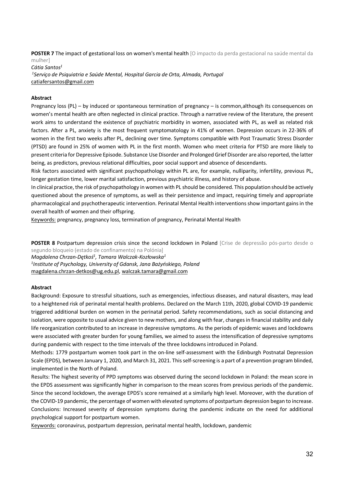**POSTER 7** The impact of gestational loss on women's mental health [O impacto da perda gestacional na saúde mental da mulher]

*Cátia Santos1 1 Serviço de Psiquiatria e Saúde Mental, Hospital Garcia de Orta, Almada, Portugal* catiafersantos@gmail.com

#### **Abstract**

Pregnancy loss (PL) – by induced or spontaneous termination of pregnancy – is common,although its consequences on women's mental health are often neglected in clinical practice. Through a narrative review of the literature, the present work aims to understand the existence of psychiatric morbidity in women, associated with PL, as well as related risk factors. After a PL, anxiety is the most frequent symptomatology in 41% of women. Depression occurs in 22-36% of women in the first two weeks after PL, declining over time. Symptoms compatible with Post Traumatic Stress Disorder (PTSD) are found in 25% of women with PL in the first month. Women who meet criteria for PTSD are more likely to present criteria for Depressive Episode. Substance Use Disorder and Prolonged Grief Disorder are also reported, the latter being, as predictors, previous relational difficulties, poor social support and absence of descendants.

Risk factors associated with significant psychopathology within PL are, for example, nulliparity, infertility, previous PL, longer gestation time, lower marital satisfaction, previous psychiatric illness, and history of abuse.

In clinical practice, the risk of psychopathology in women with PL should be considered. This population should be actively questioned about the presence of symptoms, as well as their persistence and impact, requiring timely and appropriate pharmacological and psychotherapeutic intervention. Perinatal Mental Health interventions show important gains in the overall health of women and their offspring.

Keywords: pregnancy, pregnancy loss, termination of pregnancy, Perinatal Mental Health

**POSTER 8** Postpartum depression crisis since the second lockdown in Poland [Crise de depressão pós-parto desde o segundo bloqueio (estado de confinamento) na Polónia] *Magdalena Chrzan-Dętkoś1 , Tamara Walczak-Kozłowska1 1 Institute of Psychology, University of Gdansk, Jana Bażyńskiego, Poland* magdalena.chrzan-detkos@ug.edu.pl, walczak.tamara@gmail.com

#### **Abstract**

Background: Exposure to stressful situations, such as emergencies, infectious diseases, and natural disasters, may lead to a heightened risk of perinatal mental health problems. Declared on the March 11th, 2020, global COVID-19 pandemic triggered additional burden on women in the perinatal period. Safety recommendations, such as social distancing and isolation, were opposite to usual advice given to new mothers, and along with fear, changes in financial stability and daily life reorganization contributed to an increase in depressive symptoms. As the periods of epidemic waves and lockdowns were associated with greater burden for young families, we aimed to assess the intensification of depressive symptoms during pandemic with respect to the time intervals of the three lockdowns introduced in Poland.

Methods: 1779 postpartum women took part in the on-line self-assessment with the Edinburgh Postnatal Depression Scale (EPDS), between January 1, 2020, and March 31, 2021. This self-screening is a part of a prevention program blinded, implemented in the North of Poland.

Results: The highest severity of PPD symptoms was observed during the second lockdown in Poland: the mean score in the EPDS assessment was significantly higher in comparison to the mean scores from previous periods of the pandemic. Since the second lockdown, the average EPDS's score remained at a similarly high level. Moreover, with the duration of the COVID-19 pandemic, the percentage of women with elevated symptoms of postpartum depression began to increase. Conclusions: Increased severity of depression symptoms during the pandemic indicate on the need for additional psychological support for postpartum women.

Keywords: coronavirus, postpartum depression, perinatal mental health, lockdown, pandemic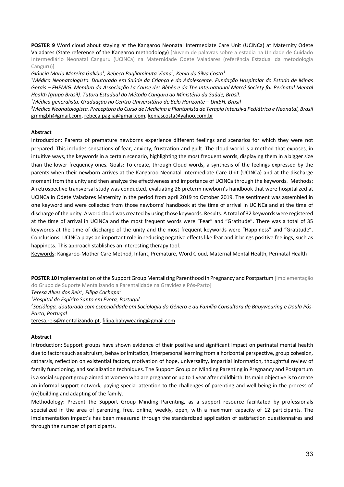**POSTER 9** Word cloud about staying at the Kangaroo Neonatal Intermediate Care Unit (UCINCa) at Maternity Odete Valadares (State reference of the Kangaroo methodology) [Nuvem de palavras sobre a estadia na Unidade de Cuidado Intermediário Neonatal Canguru (UCINCa) na Maternidade Odete Valadares (referência Estadual da metodologia Canguru)]

*Gláucia Maria Moreira Galvão1 , Rebeca Pagliaminuta Viana2 , Kenia da Silva Costa3*

*1 Médica Neonatologista. Doutorado em Saúde da Criança e do Adolescente. Fundação Hospitalar do Estado de Minas Gerais – FHEMIG. Membro da Associação La Cause des Bèbès e da The International Marcé Society for Perinatal Mental Health (grupo Brasil). Tutora Estadual do Método Canguru do Ministério da Saúde, Brasil.*

*2 Médica generalista. Graduação no Centro Universitário de Belo Horizonte – UniBH, Brasil*

*3 Médica Neonatologista. Preceptora do Curso de Medicina e Plantonista de Terapia Intensiva Pediátrica e Neonatal, Brasil* gmmgbh@gmail.com, rebeca.paglia@gmail.com, keniascosta@yahoo.com.br

#### **Abstract**

Introduction: Parents of premature newborns experience different feelings and scenarios for which they were not prepared. This includes sensations of fear, anxiety, frustration and guilt. The cloud world is a method that exposes, in intuitive ways, the keywords in a certain scenario, highlighting the most frequent words, displaying them in a bigger size than the lower frequency ones. Goals: To create, through Cloud words, a synthesis of the feelings expressed by the parents when their newborn arrives at the Kangaroo Neonatal Intermediate Care Unit (UCINCa) and at the discharge moment from the unity and then analyze the effectiveness and importance of UCINCa through the keywords. Methods: A retrospective transversal study was conducted, evaluating 26 preterm newborn's handbook that were hospitalized at UCINCa in Odete Valadares Maternity in the period from april 2019 to October 2019. The sentiment was assembled in one keyword and were collected from those newborns' handbook at the time of arrival in UCINCa and at the time of discharge of the unity. A word cloud was created by using those keywords. Results: A total of 32 keywords were registered at the time of arrival in UCINCa and the most frequent words were "Fear" and "Gratitude". There was a total of 35 keywords at the time of discharge of the unity and the most frequent keywords were "Happiness" and "Gratitude". Conclusions: UCINCa plays an important role in reducing negative effects like fear and it brings positive feelings, such as happiness. This approach stablishes an interesting therapy tool.

Keywords: Kangaroo-Mother Care Method, Infant, Premature, Word Cloud, Maternal Mental Health, Perinatal Health

**POSTER 10** Implementation of the Support Group Mentalizing Parenthood in Pregnancy and Postpartum [Implementação do Grupo de Suporte Mentalizando a Parentalidade na Gravidez e Pós-Parto]

*Teresa Alves dos Reis1 , Filipa Cachapa2*

*1 Hospital do Espírito Santo em Évora, Portugal*

*2 Socióloga, doutorada com especialidade em Sociologia do Género e da Família Consultora de Babywearing e Doula Pós-Parto, Portugal*

teresa.reis@mentalizando.pt, filipa.babywearing@gmail.com

#### **Abstract**

Introduction: Support groups have shown evidence of their positive and significant impact on perinatal mental health due to factors such as altruism, behavior imitation, interpersonal learning from a horizontal perspective, group cohesion, catharsis, reflection on existential factors, motivation of hope, universality, impartial information, thoughtful review of family functioning, and socialization techniques. The Support Group on Minding Parenting in Pregnancy and Postpartum is a social support group aimed at women who are pregnant or up to 1 year after childbirth. Its main objective isto create an informal support network, paying special attention to the challenges of parenting and well-being in the process of (re)building and adapting of the family.

Methodology: Present the Support Group Minding Parenting, as a support resource facilitated by professionals specialized in the area of parenting, free, online, weekly, open, with a maximum capacity of 12 participants. The implementation impact's has been measured through the standardized application of satisfaction questionnaires and through the number of participants.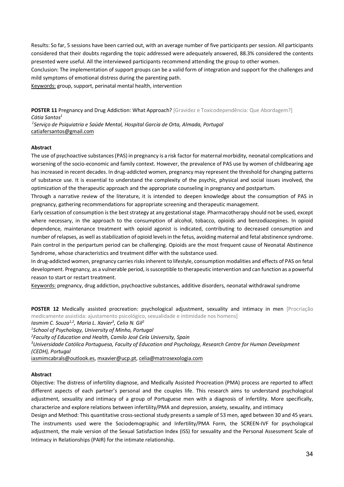Results: So far, 5 sessions have been carried out, with an average number of five participants per session. All participants considered that their doubts regarding the topic addressed were adequately answered, 88.3% considered the contents presented were useful. All the interviewed participants recommend attending the group to other women.

Conclusion: The implementation of support groups can be a valid form of integration and support for the challenges and mild symptoms of emotional distress during the parenting path.

Keywords: group, support, perinatal mental health, intervention

POSTER 11 Pregnancy and Drug Addiction: What Approach? [Gravidez e Toxicodependência: Que Abordagem?] *Cátia Santos1*

*1 Serviço de Psiquiatria e Saúde Mental, Hospital Garcia de Orta, Almada, Portugal* catiafersantos@gmail.com

#### **Abstract**

The use of psychoactive substances (PAS) in pregnancy is a risk factor for maternal morbidity, neonatal complications and worsening of the socio-economic and family context. However, the prevalence of PAS use by women of childbearing age has increased in recent decades. In drug-addicted women, pregnancy may represent the threshold for changing patterns of substance use. It is essential to understand the complexity of the psychic, physical and social issues involved, the optimization of the therapeutic approach and the appropriate counseling in pregnancy and postpartum.

Through a narrative review of the literature, it is intended to deepen knowledge about the consumption of PAS in pregnancy, gathering recommendations for appropriate screening and therapeutic management.

Early cessation of consumption is the best strategy at any gestational stage. Pharmacotherapy should not be used, except where necessary, in the approach to the consumption of alcohol, tobacco, opioids and benzodiazepines. In opioid dependence, maintenance treatment with opioid agonist is indicated, contributing to decreased consumption and number of relapses, as well as stabilization of opioid levels in the fetus, avoiding maternal and fetal abstinence syndrome. Pain control in the peripartum period can be challenging. Opioids are the most frequent cause of Neonatal Abstinence Syndrome, whose characteristics and treatment differ with the substance used.

In drug-addicted women, pregnancy carries risks inherent to lifestyle, consumption modalities and effects of PAS on fetal development. Pregnancy, as a vulnerable period, is susceptible to therapeutic intervention and can function as a powerful reason to start or restart treatment.

Keywords: pregnancy, drug addiction, psychoactive substances, additive disorders, neonatal withdrawal syndrome

**POSTER 12** Medically assisted procreation: psychological adjustment, sexuality and intimacy in men [Procriação medicamente assistida: ajustamento psicológico, sexualidade e intimidade nos homens]

*Iasmim C. Souza1,2, Maria L. Xavier3 , Celia N. Gil2*

*1 School of Psychology, University of Minho, Portugal*

*2 Faculty of Education and Health, Camilo José Cela University, Spain*

*3 Universidade Católica Portuguesa, Faculty of Education and Psychology, Research Centre for Human Development (CEDH), Portugal*

iasmimcabrals@outlook.es, mxavier@ucp.pt, celia@matrosexologia.com

#### **Abstract**

Objective: The distress of infertility diagnose, and Medically Assisted Procreation (PMA) process are reported to affect different aspects of each partner's personal and the couples life. This research aims to understand psychological adjustment, sexuality and intimacy of a group of Portuguese men with a diagnosis of infertility. More specifically, characterize and explore relations between infertility/PMA and depression, anxiety, sexuality, and intimacy

Design and Method: This quantitative cross-sectional study presents a sample of 53 men, aged between 30 and 45 years. The instruments used were the Sociodemographic and Infertility/PMA Form, the SCREEN-IVF for psychological adjustment, the male version of the Sexual Satisfaction Index (ISS) for sexuality and the Personal Assessment Scale of Intimacy in Relationships (PAIR) for the intimate relationship.